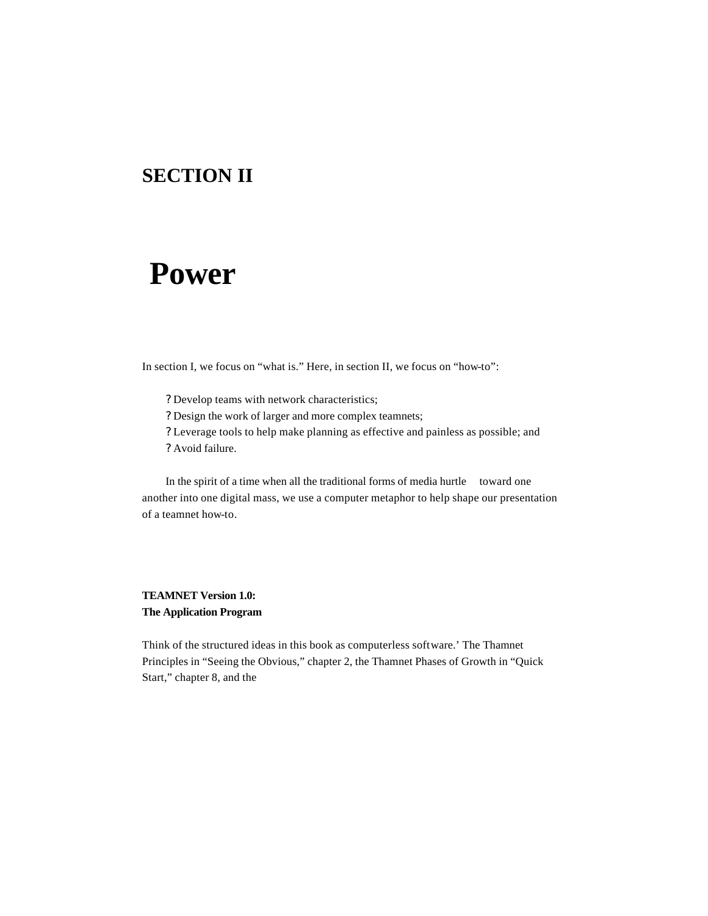## **SECTION II**

## **Power**

In section I, we focus on "what is." Here, in section II, we focus on "how-to":

- ? Develop teams with network characteristics;
- ? Design the work of larger and more complex teamnets;
- ? Leverage tools to help make planning as effective and painless as possible; and
- ? Avoid failure.

In the spirit of a time when all the traditional forms of media hurtle toward one another into one digital mass, we use a computer metaphor to help shape our presentation of a teamnet how-to.

#### **TEAMNET Version 1.0: The Application Program**

Think of the structured ideas in this book as computerless software.' The Thamnet Principles in "Seeing the Obvious," chapter 2, the Thamnet Phases of Growth in "Quick Start," chapter 8, and the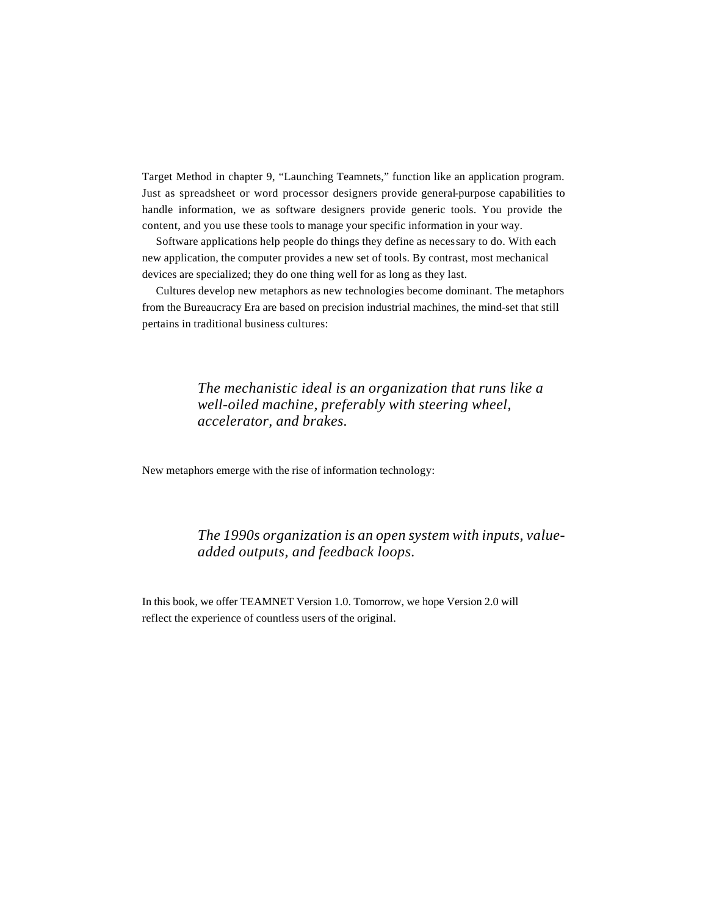Target Method in chapter 9, "Launching Teamnets," function like an application program. Just as spreadsheet or word processor designers provide general-purpose capabilities to handle information, we as software designers provide generic tools. You provide the content, and you use these tools to manage your specific information in your way.

Software applications help people do things they define as necessary to do. With each new application, the computer provides a new set of tools. By contrast, most mechanical devices are specialized; they do one thing well for as long as they last.

Cultures develop new metaphors as new technologies become dominant. The metaphors from the Bureaucracy Era are based on precision industrial machines, the mind-set that still pertains in traditional business cultures:

> *The mechanistic ideal is an organization that runs like a well-oiled machine, preferably with steering wheel, accelerator, and brakes.*

New metaphors emerge with the rise of information technology:

### *The 1990s organization is an open system with inputs, valueadded outputs, and feedback loops.*

In this book, we offer TEAMNET Version 1.0. Tomorrow, we hope Version 2.0 will reflect the experience of countless users of the original.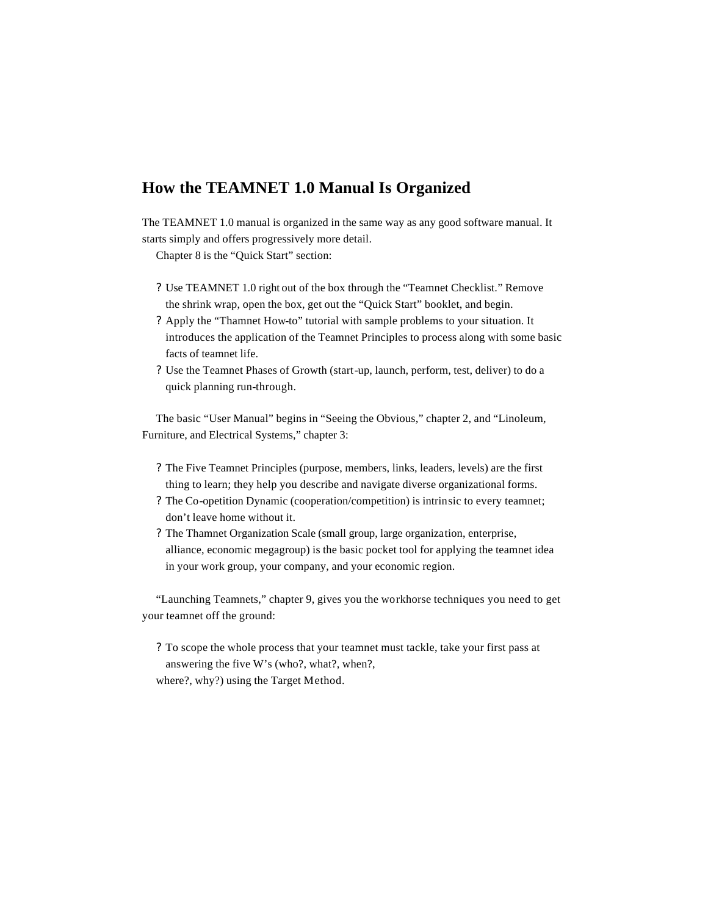## **How the TEAMNET 1.0 Manual Is Organized**

The TEAMNET 1.0 manual is organized in the same way as any good software manual. It starts simply and offers progressively more detail.

Chapter 8 is the "Quick Start" section:

- ? Use TEAMNET 1.0 right out of the box through the "Teamnet Checklist." Remove the shrink wrap, open the box, get out the "Quick Start" booklet, and begin.
- ? Apply the "Thamnet How-to" tutorial with sample problems to your situation. It introduces the application of the Teamnet Principles to process along with some basic facts of teamnet life.
- ? Use the Teamnet Phases of Growth (start-up, launch, perform, test, deliver) to do a quick planning run-through.

The basic "User Manual" begins in "Seeing the Obvious," chapter 2, and "Linoleum, Furniture, and Electrical Systems," chapter 3:

- ? The Five Teamnet Principles (purpose, members, links, leaders, levels) are the first thing to learn; they help you describe and navigate diverse organizational forms.
- ? The Co-opetition Dynamic (cooperation/competition) is intrinsic to every teamnet; don't leave home without it.
- ? The Thamnet Organization Scale (small group, large organization, enterprise, alliance, economic megagroup) is the basic pocket tool for applying the teamnet idea in your work group, your company, and your economic region.

"Launching Teamnets," chapter 9, gives you the workhorse techniques you need to get your teamnet off the ground:

? To scope the whole process that your teamnet must tackle, take your first pass at answering the five W's (who?, what?, when?, where?, why?) using the Target Method.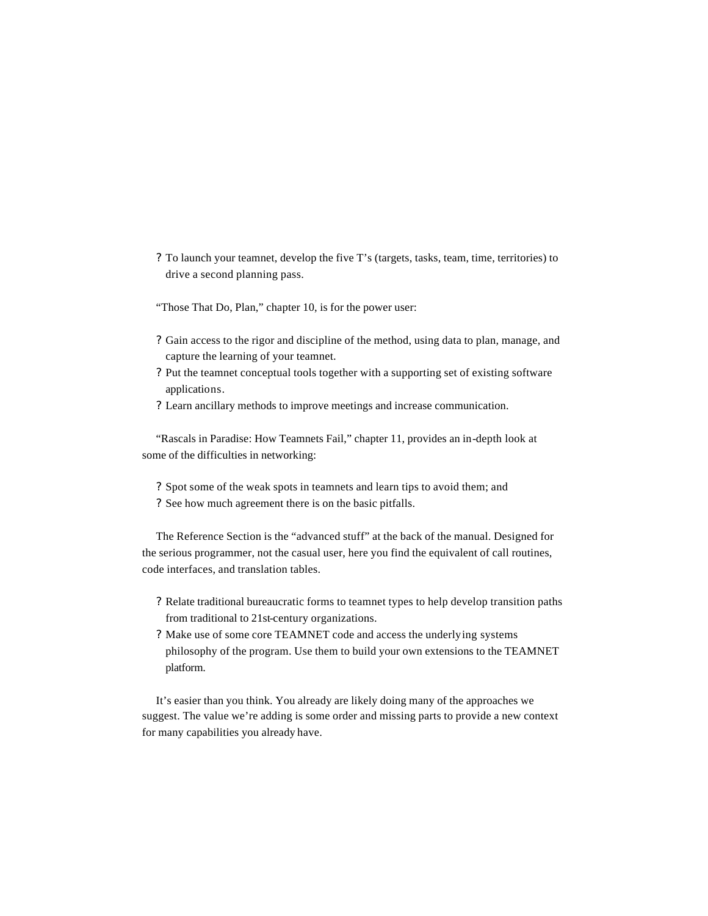- ? To launch your teamnet, develop the five T's (targets, tasks, team, time, territories) to drive a second planning pass.
- "Those That Do, Plan," chapter 10, is for the power user:
- ? Gain access to the rigor and discipline of the method, using data to plan, manage, and capture the learning of your teamnet.
- ? Put the teamnet conceptual tools together with a supporting set of existing software applications.
- ? Learn ancillary methods to improve meetings and increase communication.

"Rascals in Paradise: How Teamnets Fail," chapter 11, provides an in-depth look at some of the difficulties in networking:

- ? Spot some of the weak spots in teamnets and learn tips to avoid them; and
- ? See how much agreement there is on the basic pitfalls.

The Reference Section is the "advanced stuff" at the back of the manual. Designed for the serious programmer, not the casual user, here you find the equivalent of call routines, code interfaces, and translation tables.

- ? Relate traditional bureaucratic forms to teamnet types to help develop transition paths from traditional to 21st-century organizations.
- ? Make use of some core TEAMNET code and access the underlying systems philosophy of the program. Use them to build your own extensions to the TEAMNET platform.

It's easier than you think. You already are likely doing many of the approaches we suggest. The value we're adding is some order and missing parts to provide a new context for many capabilities you already have.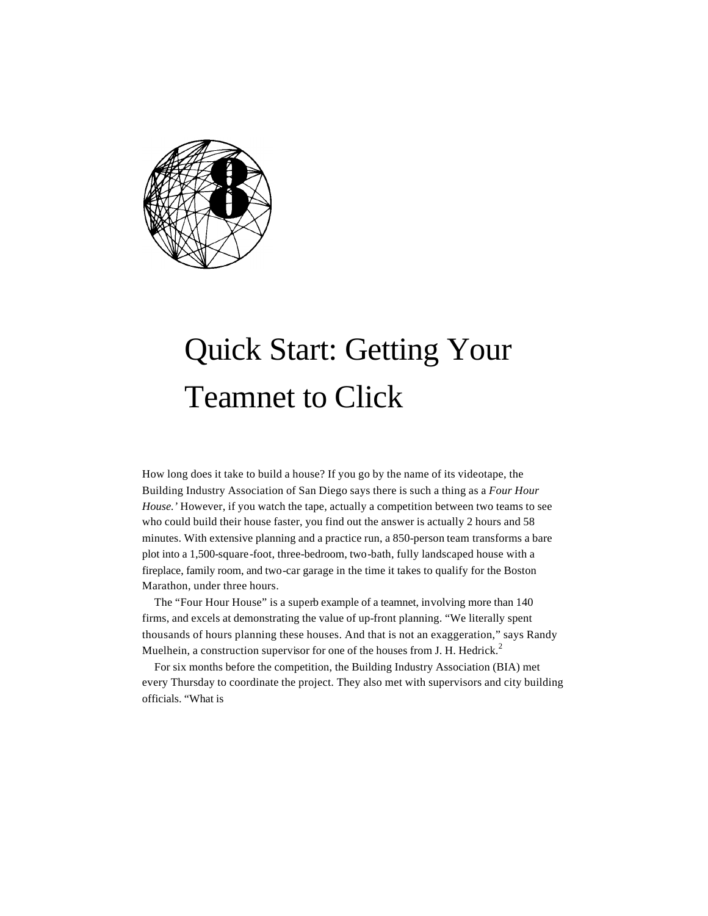

# Quick Start: Getting Your Teamnet to Click

How long does it take to build a house? If you go by the name of its videotape, the Building Industry Association of San Diego says there is such a thing as a *Four Hour House.'* However, if you watch the tape, actually a competition between two teams to see who could build their house faster, you find out the answer is actually 2 hours and 58 minutes. With extensive planning and a practice run, a 850-person team transforms a bare plot into a 1,500-square-foot, three-bedroom, two-bath, fully landscaped house with a fireplace, family room, and two-car garage in the time it takes to qualify for the Boston Marathon, under three hours.

The "Four Hour House" is a superb example of a teamnet, involving more than 140 firms, and excels at demonstrating the value of up-front planning. "We literally spent thousands of hours planning these houses. And that is not an exaggeration," says Randy Muelhein, a construction supervisor for one of the houses from J. H. Hedrick.<sup>2</sup>

For six months before the competition, the Building Industry Association (BIA) met every Thursday to coordinate the project. They also met with supervisors and city building officials. "What is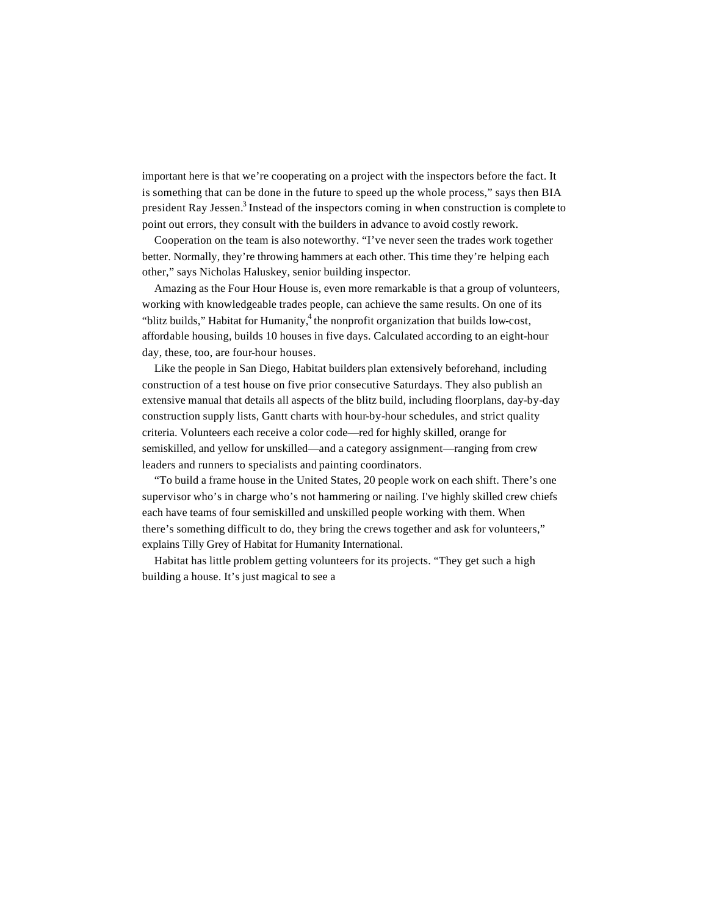important here is that we're cooperating on a project with the inspectors before the fact. It is something that can be done in the future to speed up the whole process," says then BIA president Ray Jessen.<sup>3</sup>Instead of the inspectors coming in when construction is complete to point out errors, they consult with the builders in advance to avoid costly rework.

Cooperation on the team is also noteworthy. "I've never seen the trades work together better. Normally, they're throwing hammers at each other. This time they're helping each other," says Nicholas Haluskey, senior building inspector.

Amazing as the Four Hour House is, even more remarkable is that a group of volunteers, working with knowledgeable trades people, can achieve the same results. On one of its "blitz builds," Habitat for Humanity, $4$  the nonprofit organization that builds low-cost, affordable housing, builds 10 houses in five days. Calculated according to an eight-hour day, these, too, are four-hour houses.

Like the people in San Diego, Habitat builders plan extensively beforehand, including construction of a test house on five prior consecutive Saturdays. They also publish an extensive manual that details all aspects of the blitz build, including floorplans, day-by-day construction supply lists, Gantt charts with hour-by-hour schedules, and strict quality criteria. Volunteers each receive a color code—red for highly skilled, orange for semiskilled, and yellow for unskilled—and a category assignment—ranging from crew leaders and runners to specialists and painting coordinators.

"To build a frame house in the United States, 20 people work on each shift. There's one supervisor who's in charge who's not hammering or nailing. I've highly skilled crew chiefs each have teams of four semiskilled and unskilled people working with them. When there's something difficult to do, they bring the crews together and ask for volunteers," explains Tilly Grey of Habitat for Humanity International.

Habitat has little problem getting volunteers for its projects. "They get such a high building a house. It's just magical to see a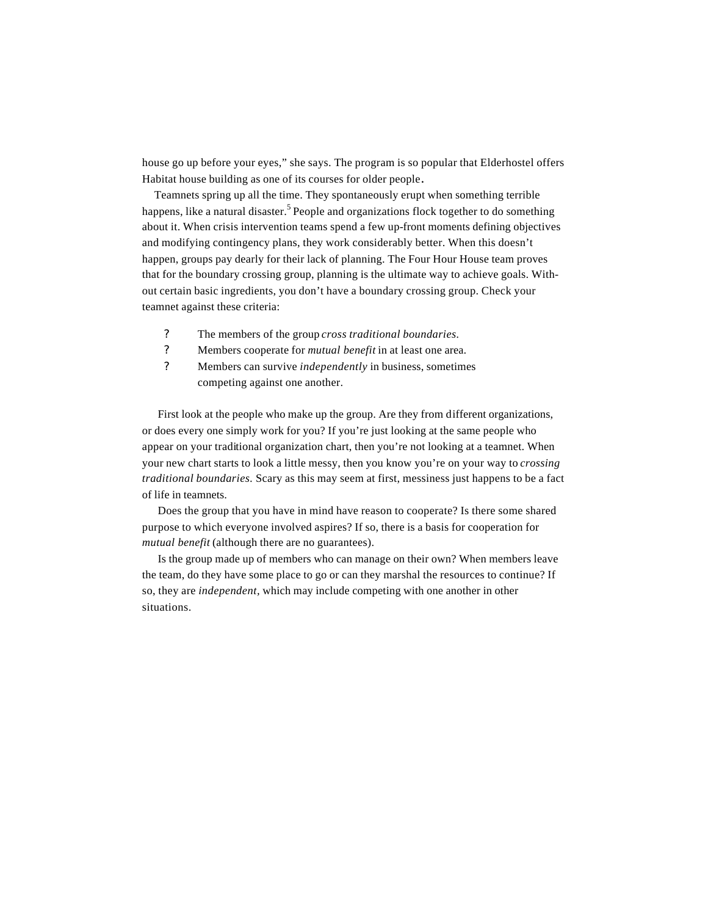house go up before your eyes," she says. The program is so popular that Elderhostel offers Habitat house building as one of its courses for older people**.**

Teamnets spring up all the time. They spontaneously erupt when something terrible happens, like a natural disaster.<sup>5</sup> People and organizations flock together to do something about it. When crisis intervention teams spend a few up-front moments defining objectives and modifying contingency plans, they work considerably better. When this doesn't happen, groups pay dearly for their lack of planning. The Four Hour House team proves that for the boundary crossing group, planning is the ultimate way to achieve goals. Without certain basic ingredients, you don't have a boundary crossing group. Check your teamnet against these criteria:

- ? The members of the group *cross traditional boundaries.*
- ? Members cooperate for *mutual benefit* in at least one area.
- ? Members can survive *independently* in business, sometimes competing against one another.

First look at the people who make up the group. Are they from different organizations, or does every one simply work for you? If you're just looking at the same people who appear on your traditional organization chart, then you're not looking at a teamnet. When your new chart starts to look a little messy, then you know you're on your way to *crossing traditional boundaries.* Scary as this may seem at first, messiness just happens to be a fact of life in teamnets.

Does the group that you have in mind have reason to cooperate? Is there some shared purpose to which everyone involved aspires? If so, there is a basis for cooperation for *mutual benefit* (although there are no guarantees).

Is the group made up of members who can manage on their own? When members leave the team, do they have some place to go or can they marshal the resources to continue? If so, they are *independent,* which may include competing with one another in other situations.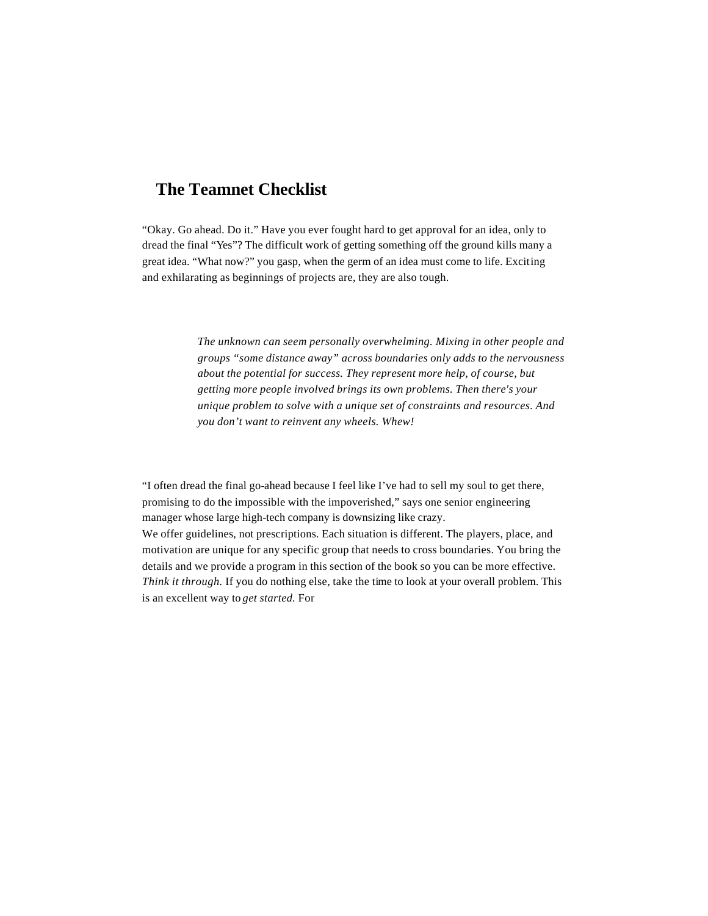## **The Teamnet Checklist**

"Okay. Go ahead. Do it." Have you ever fought hard to get approval for an idea, only to dread the final "Yes"? The difficult work of getting something off the ground kills many a great idea. "What now?" you gasp, when the germ of an idea must come to life. Exciting and exhilarating as beginnings of projects are, they are also tough.

> *The unknown can seem personally overwhelming. Mixing in other people and groups "some distance away" across boundaries only adds to the nervousness about the potential for success. They represent more help, of course, but getting more people involved brings its own problems. Then there's your unique problem to solve with a unique set of constraints and resources. And you don't want to reinvent any wheels. Whew!*

"I often dread the final go-ahead because I feel like I've had to sell my soul to get there, promising to do the impossible with the impoverished," says one senior engineering manager whose large high-tech company is downsizing like crazy. We offer guidelines, not prescriptions. Each situation is different. The players, place, and motivation are unique for any specific group that needs to cross boundaries. You bring the details and we provide a program in this section of the book so you can be more effective. *Think it through.* If you do nothing else, take the time to look at your overall problem. This is an excellent way to *get started.* For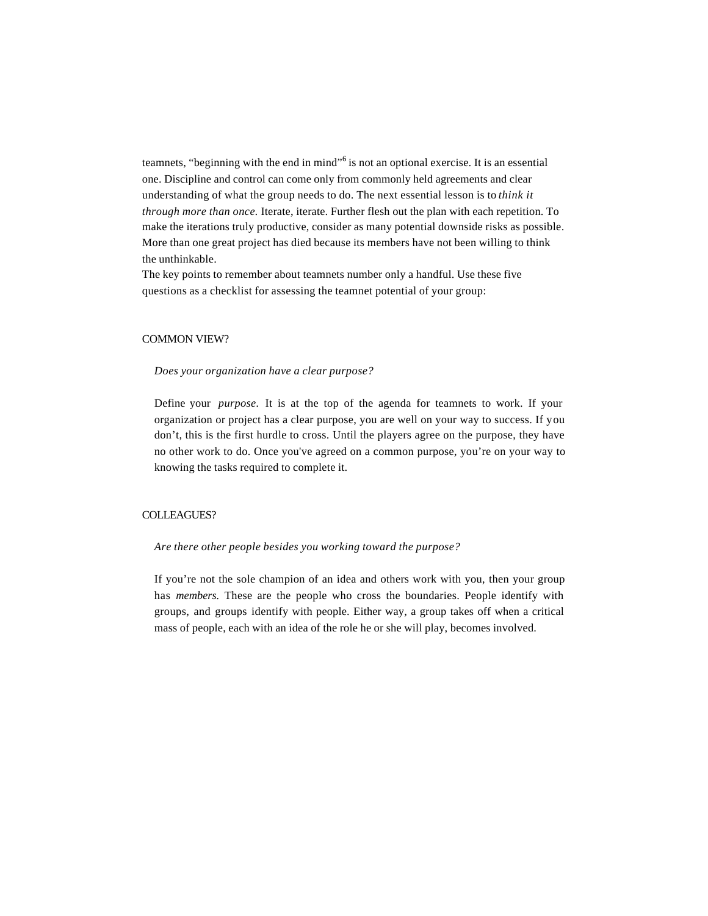teamnets, "beginning with the end in mind"<sup>6</sup> is not an optional exercise. It is an essential one. Discipline and control can come only from commonly held agreements and clear understanding of what the group needs to do. The next essential lesson is to *think it through more than once.* Iterate, iterate. Further flesh out the plan with each repetition. To make the iterations truly productive, consider as many potential downside risks as possible. More than one great project has died because its members have not been willing to think the unthinkable.

The key points to remember about teamnets number only a handful. Use these five questions as a checklist for assessing the teamnet potential of your group:

#### COMMON VIEW?

*Does your organization have a clear purpose?*

Define your *purpose.* It is at the top of the agenda for teamnets to work. If your organization or project has a clear purpose, you are well on your way to success. If you don't, this is the first hurdle to cross. Until the players agree on the purpose, they have no other work to do. Once you've agreed on a common purpose, you're on your way to knowing the tasks required to complete it.

#### COLLEAGUES?

#### *Are there other people besides you working toward the purpose?*

If you're not the sole champion of an idea and others work with you, then your group has *members.* These are the people who cross the boundaries. People identify with groups, and groups identify with people. Either way, a group takes off when a critical mass of people, each with an idea of the role he or she will play, becomes involved.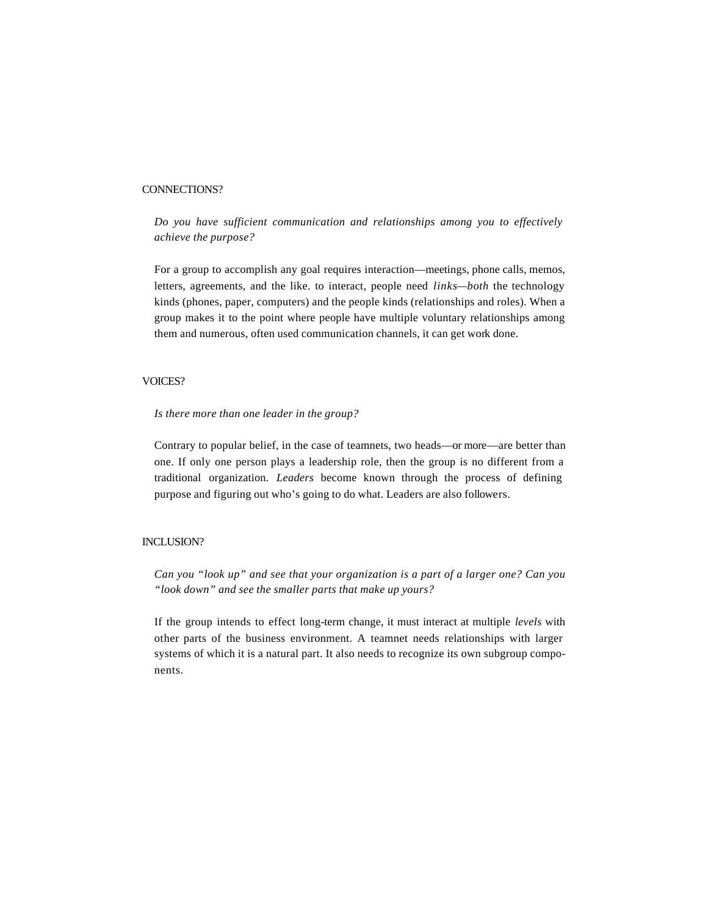#### CONNECTIONS?

*Do you have sufficient communication and relationships among you to effectively achieve the purpose?*

For a group to accomplish any goal requires interaction—meetings, phone calls, memos, letters, agreements, and the like. to interact, people need *links—both* the technology kinds (phones, paper, computers) and the people kinds (relationships and roles). When a group makes it to the point where people have multiple voluntary relationships among them and numerous, often used communication channels, it can get work done.

#### VOICES?

#### *Is there more than one leader in the group?*

Contrary to popular belief, in the case of teamnets, two heads—or more—are better than one. If only one person plays a leadership role, then the group is no different from a traditional organization. *Leaders* become known through the process of defining purpose and figuring out who's going to do what. Leaders are also followers.

#### INCLUSION?

*Can you "look up" and see that your organization is a part of a larger one? Can you "look down" and see the smaller parts that make up yours?*

If the group intends to effect long-term change, it must interact at multiple *levels* with other parts of the business environment. A teamnet needs relationships with larger systems of which it is a natural part. It also needs to recognize its own subgroup components.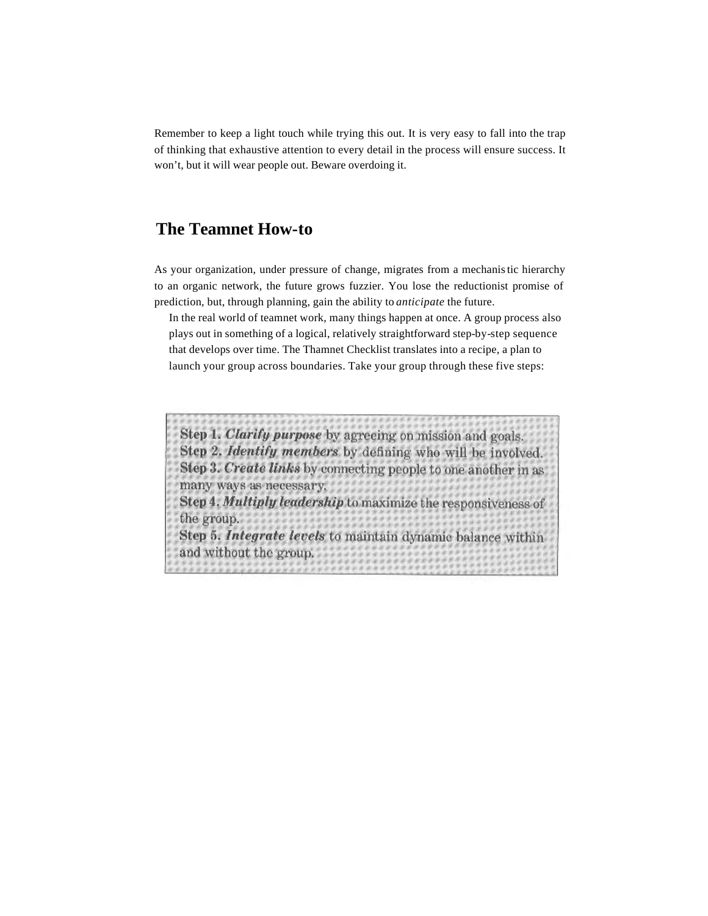Remember to keep a light touch while trying this out. It is very easy to fall into the trap of thinking that exhaustive attention to every detail in the process will ensure success. It won't, but it will wear people out. Beware overdoing it.

## **The Teamnet How-to**

As your organization, under pressure of change, migrates from a mechanistic hierarchy to an organic network, the future grows fuzzier. You lose the reductionist promise of prediction, but, through planning, gain the ability to *anticipate* the future.

In the real world of teamnet work, many things happen at once. A group process also plays out in something of a logical, relatively straightforward step-by-step sequence that develops over time. The Thamnet Checklist translates into a recipe, a plan to launch your group across boundaries. Take your group through these five steps:

Step 1. Clarify purpose by agreeing on mission and goals. Step 2. Identify members by defining who will be involved. Step 3. Create links by connecting people to one another in as many ways as necessary. Step 4. Multiply leadership to maximize the responsiveness of the group. Step 5. Integrate levels to maintain dynamic balance within and without the group.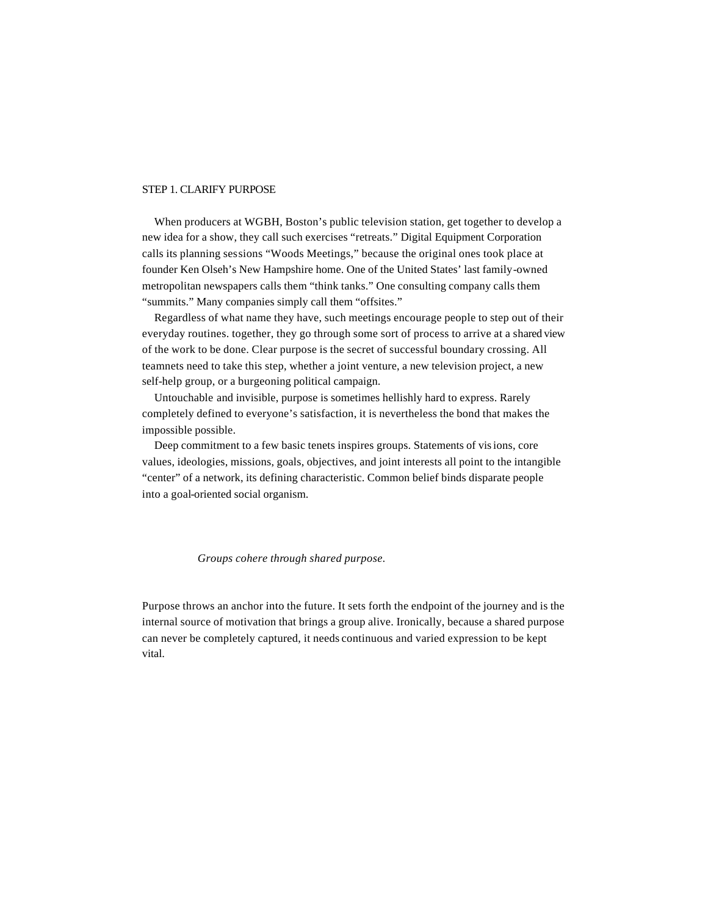#### STEP 1. CLARIFY PURPOSE

When producers at WGBH, Boston's public television station, get together to develop a new idea for a show, they call such exercises "retreats." Digital Equipment Corporation calls its planning sessions "Woods Meetings," because the original ones took place at founder Ken Olseh's New Hampshire home. One of the United States' last family-owned metropolitan newspapers calls them "think tanks." One consulting company calls them "summits." Many companies simply call them "offsites."

Regardless of what name they have, such meetings encourage people to step out of their everyday routines. together, they go through some sort of process to arrive at a shared view of the work to be done. Clear purpose is the secret of successful boundary crossing. All teamnets need to take this step, whether a joint venture, a new television project, a new self-help group, or a burgeoning political campaign.

Untouchable and invisible, purpose is sometimes hellishly hard to express. Rarely completely defined to everyone's satisfaction, it is nevertheless the bond that makes the impossible possible.

Deep commitment to a few basic tenets inspires groups. Statements of visions, core values, ideologies, missions, goals, objectives, and joint interests all point to the intangible "center" of a network, its defining characteristic. Common belief binds disparate people into a goal-oriented social organism.

#### *Groups cohere through shared purpose.*

Purpose throws an anchor into the future. It sets forth the endpoint of the journey and is the internal source of motivation that brings a group alive. Ironically, because a shared purpose can never be completely captured, it needs continuous and varied expression to be kept vital.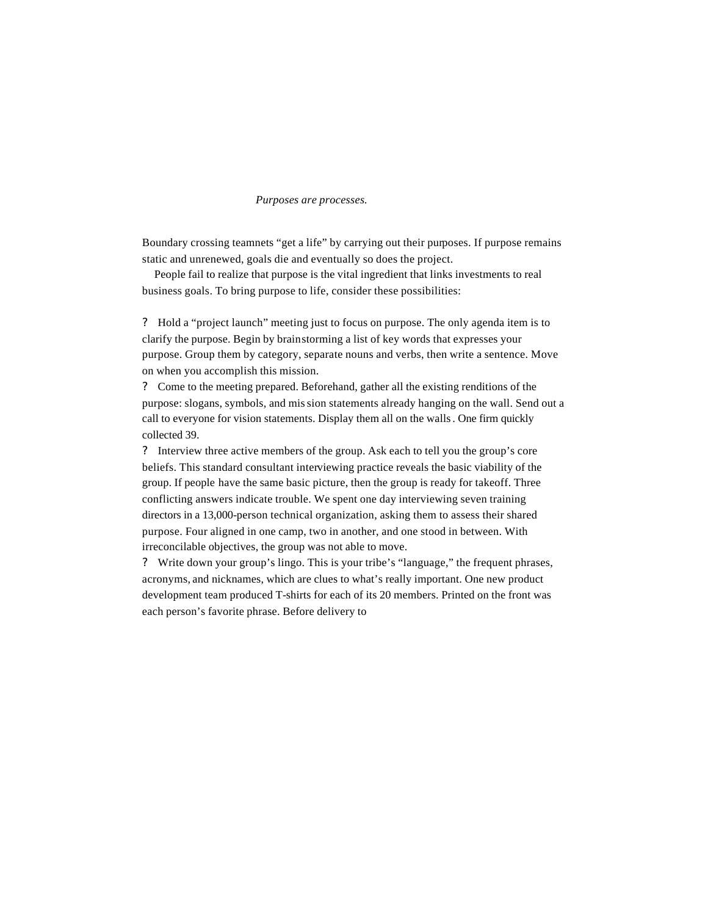#### *Purposes are processes.*

Boundary crossing teamnets "get a life" by carrying out their purposes. If purpose remains static and unrenewed, goals die and eventually so does the project.

People fail to realize that purpose is the vital ingredient that links investments to real business goals. To bring purpose to life, consider these possibilities:

? Hold a "project launch" meeting just to focus on purpose. The only agenda item is to clarify the purpose. Begin by brainstorming a list of key words that expresses your purpose. Group them by category, separate nouns and verbs, then write a sentence. Move on when you accomplish this mission.

? Come to the meeting prepared. Beforehand, gather all the existing renditions of the purpose: slogans, symbols, and mission statements already hanging on the wall. Send out a call to everyone for vision statements. Display them all on the walls. One firm quickly collected 39.

? Interview three active members of the group. Ask each to tell you the group's core beliefs. This standard consultant interviewing practice reveals the basic viability of the group. If people have the same basic picture, then the group is ready for takeoff. Three conflicting answers indicate trouble. We spent one day interviewing seven training directors in a 13,000-person technical organization, asking them to assess their shared purpose. Four aligned in one camp, two in another, and one stood in between. With irreconcilable objectives, the group was not able to move.

? Write down your group's lingo. This is your tribe's "language," the frequent phrases, acronyms, and nicknames, which are clues to what's really important. One new product development team produced T-shirts for each of its 20 members. Printed on the front was each person's favorite phrase. Before delivery to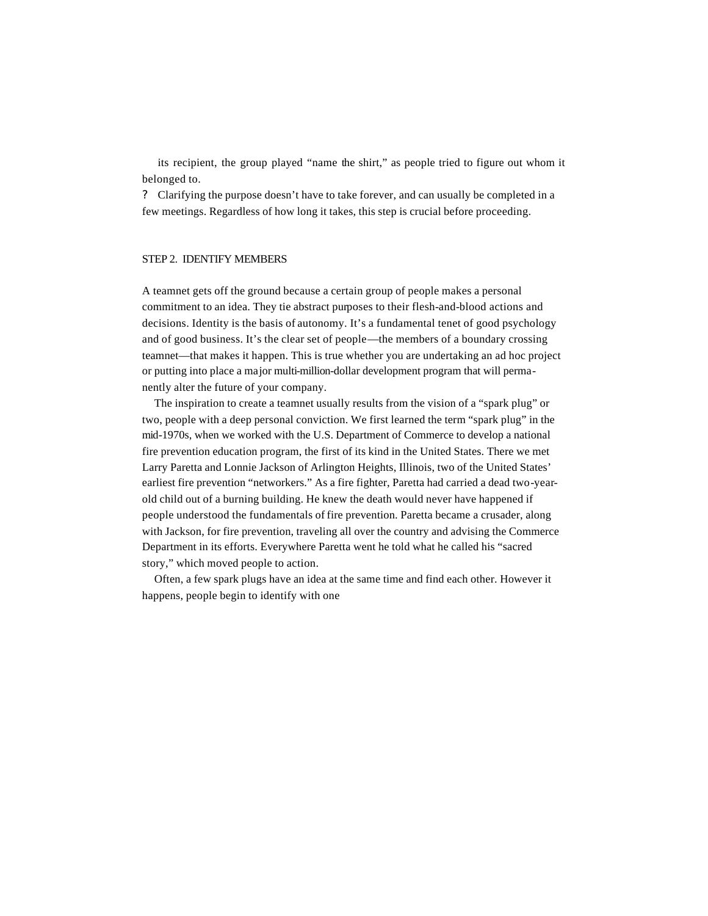its recipient, the group played "name the shirt," as people tried to figure out whom it belonged to.

? Clarifying the purpose doesn't have to take forever, and can usually be completed in a few meetings. Regardless of how long it takes, this step is crucial before proceeding.

#### STEP 2. IDENTIFY MEMBERS

A teamnet gets off the ground because a certain group of people makes a personal commitment to an idea. They tie abstract purposes to their flesh-and-blood actions and decisions. Identity is the basis of autonomy. It's a fundamental tenet of good psychology and of good business. It's the clear set of people—the members of a boundary crossing teamnet—that makes it happen. This is true whether you are undertaking an ad hoc project or putting into place a major multi-million-dollar development program that will permanently alter the future of your company.

The inspiration to create a teamnet usually results from the vision of a "spark plug" or two, people with a deep personal conviction. We first learned the term "spark plug" in the mid-1970s, when we worked with the U.S. Department of Commerce to develop a national fire prevention education program, the first of its kind in the United States. There we met Larry Paretta and Lonnie Jackson of Arlington Heights, Illinois, two of the United States' earliest fire prevention "networkers." As a fire fighter, Paretta had carried a dead two-yearold child out of a burning building. He knew the death would never have happened if people understood the fundamentals of fire prevention. Paretta became a crusader, along with Jackson, for fire prevention, traveling all over the country and advising the Commerce Department in its efforts. Everywhere Paretta went he told what he called his "sacred story," which moved people to action.

Often, a few spark plugs have an idea at the same time and find each other. However it happens, people begin to identify with one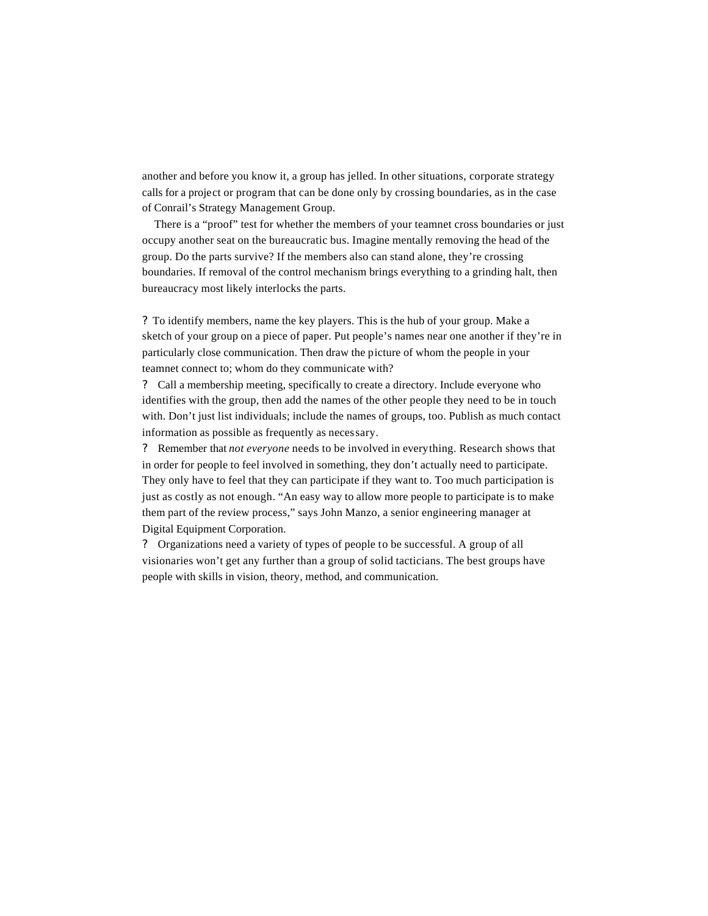another and before you know it, a group has jelled. In other situations, corporate strategy calls for a project or program that can be done only by crossing boundaries, as in the case of Conrail's Strategy Management Group.

There is a "proof" test for whether the members of your teamnet cross boundaries or just occupy another seat on the bureaucratic bus. Imagine mentally removing the head of the group. Do the parts survive? If the members also can stand alone, they're crossing boundaries. If removal of the control mechanism brings everything to a grinding halt, then bureaucracy most likely interlocks the parts.

? To identify members, name the key players. This is the hub of your group. Make a sketch of your group on a piece of paper. Put people's names near one another if they're in particularly close communication. Then draw the picture of whom the people in your teamnet connect to; whom do they communicate with?

? Call a membership meeting, specifically to create a directory. Include everyone who identifies with the group, then add the names of the other people they need to be in touch with. Don't just list individuals; include the names of groups, too. Publish as much contact information as possible as frequently as necessary.

? Remember that *not everyone* needs to be involved in everything. Research shows that in order for people to feel involved in something, they don't actually need to participate. They only have to feel that they can participate if they want to. Too much participation is just as costly as not enough. "An easy way to allow more people to participate is to make them part of the review process," says John Manzo, a senior engineering manager at Digital Equipment Corporation.

? Organizations need a variety of types of people to be successful. A group of all visionaries won't get any further than a group of solid tacticians. The best groups have people with skills in vision, theory, method, and communication.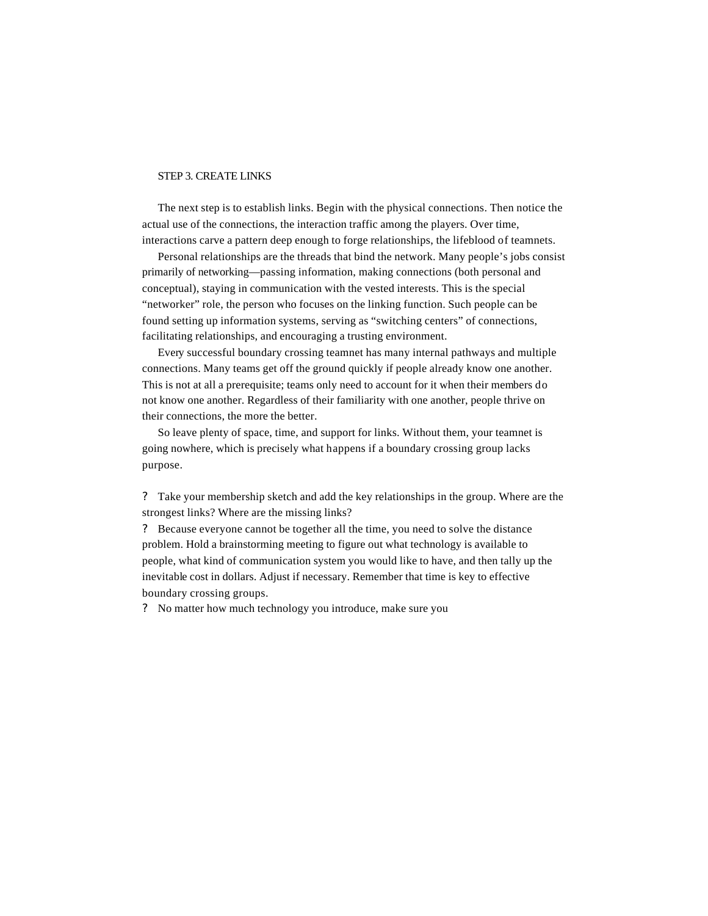#### STEP 3. CREATE LINKS

The next step is to establish links. Begin with the physical connections. Then notice the actual use of the connections, the interaction traffic among the players. Over time, interactions carve a pattern deep enough to forge relationships, the lifeblood of teamnets.

Personal relationships are the threads that bind the network. Many people's jobs consist primarily of networking—passing information, making connections (both personal and conceptual), staying in communication with the vested interests. This is the special "networker" role, the person who focuses on the linking function. Such people can be found setting up information systems, serving as "switching centers" of connections, facilitating relationships, and encouraging a trusting environment.

Every successful boundary crossing teamnet has many internal pathways and multiple connections. Many teams get off the ground quickly if people already know one another. This is not at all a prerequisite; teams only need to account for it when their members do not know one another. Regardless of their familiarity with one another, people thrive on their connections, the more the better.

So leave plenty of space, time, and support for links. Without them, your teamnet is going nowhere, which is precisely what happens if a boundary crossing group lacks purpose.

? Take your membership sketch and add the key relationships in the group. Where are the strongest links? Where are the missing links?

? Because everyone cannot be together all the time, you need to solve the distance problem. Hold a brainstorming meeting to figure out what technology is available to people, what kind of communication system you would like to have, and then tally up the inevitable cost in dollars. Adjust if necessary. Remember that time is key to effective boundary crossing groups.

? No matter how much technology you introduce, make sure you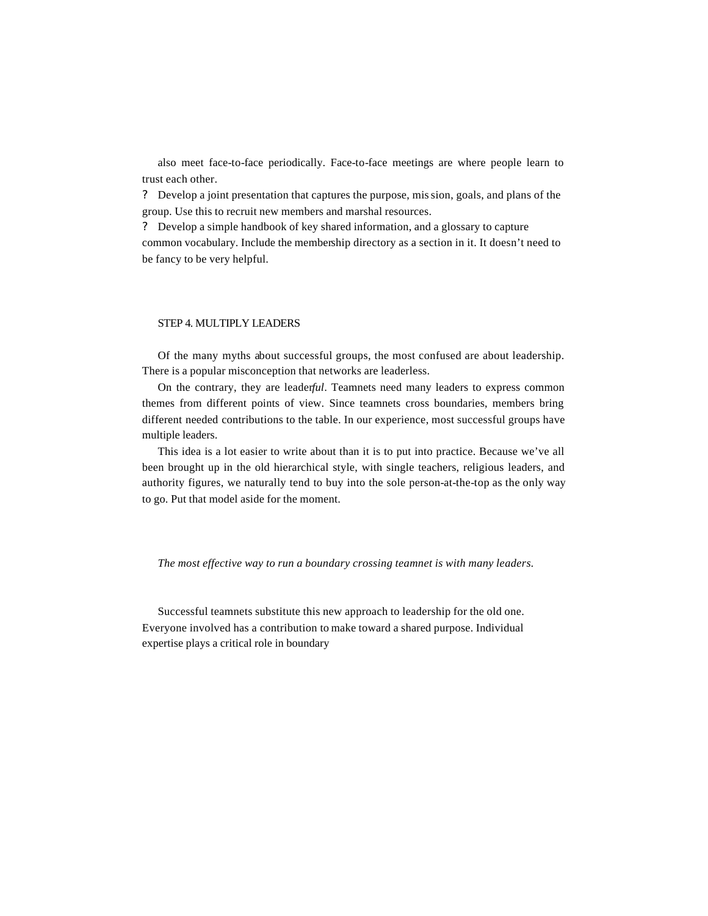also meet face-to-face periodically. Face-to-face meetings are where people learn to trust each other.

? Develop a joint presentation that captures the purpose, mission, goals, and plans of the group. Use this to recruit new members and marshal resources.

? Develop a simple handbook of key shared information, and a glossary to capture common vocabulary. Include the membership directory as a section in it. It doesn't need to be fancy to be very helpful.

#### STEP 4. MULTIPLY LEADERS

Of the many myths about successful groups, the most confused are about leadership. There is a popular misconception that networks are leaderless.

On the contrary, they are leader*ful*. Teamnets need many leaders to express common themes from different points of view. Since teamnets cross boundaries, members bring different needed contributions to the table. In our experience, most successful groups have multiple leaders.

This idea is a lot easier to write about than it is to put into practice. Because we've all been brought up in the old hierarchical style, with single teachers, religious leaders, and authority figures, we naturally tend to buy into the sole person-at-the-top as the only way to go. Put that model aside for the moment.

*The most effective way to run a boundary crossing teamnet is with many leaders.*

Successful teamnets substitute this new approach to leadership for the old one. Everyone involved has a contribution to make toward a shared purpose. Individual expertise plays a critical role in boundary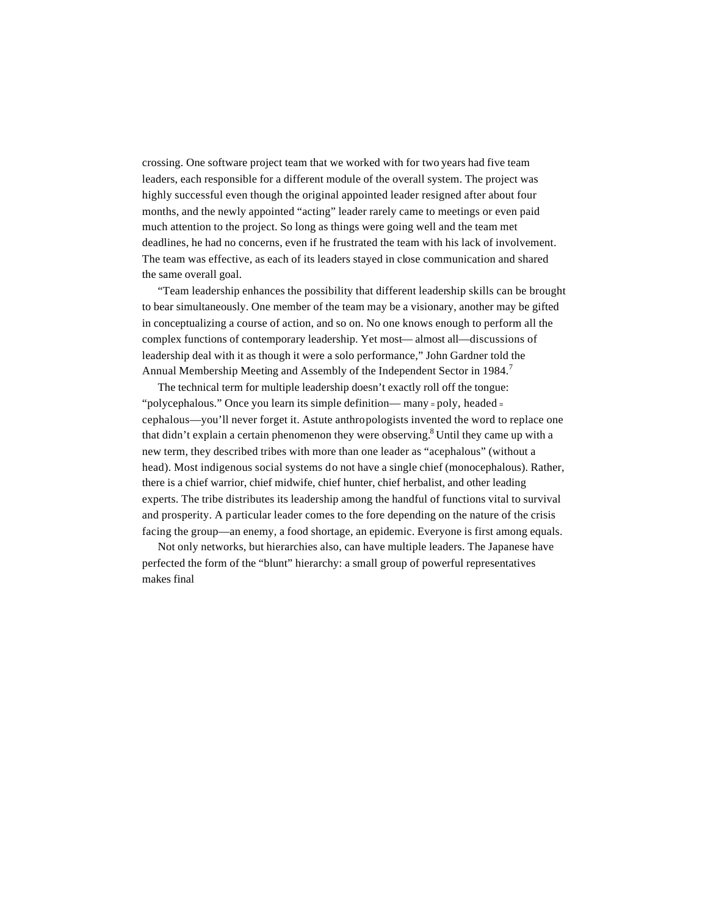crossing. One software project team that we worked with for two years had five team leaders, each responsible for a different module of the overall system. The project was highly successful even though the original appointed leader resigned after about four months, and the newly appointed "acting" leader rarely came to meetings or even paid much attention to the project. So long as things were going well and the team met deadlines, he had no concerns, even if he frustrated the team with his lack of involvement. The team was effective, as each of its leaders stayed in close communication and shared the same overall goal.

"Team leadership enhances the possibility that different leadership skills can be brought to bear simultaneously. One member of the team may be a visionary, another may be gifted in conceptualizing a course of action, and so on. No one knows enough to perform all the complex functions of contemporary leadership. Yet most— almost all—discussions of leadership deal with it as though it were a solo performance," John Gardner told the Annual Membership Meeting and Assembly of the Independent Sector in 1984.<sup>7</sup>

The technical term for multiple leadership doesn't exactly roll off the tongue: "polycephalous." Once you learn its simple definition— many = poly, headed <sup>=</sup> cephalous—you'll never forget it. Astute anthropologists invented the word to replace one that didn't explain a certain phenomenon they were observing.<sup>8</sup> Until they came up with a new term, they described tribes with more than one leader as "acephalous" (without a head). Most indigenous social systems do not have a single chief (monocephalous). Rather, there is a chief warrior, chief midwife, chief hunter, chief herbalist, and other leading experts. The tribe distributes its leadership among the handful of functions vital to survival and prosperity. A particular leader comes to the fore depending on the nature of the crisis facing the group—an enemy, a food shortage, an epidemic. Everyone is first among equals.

Not only networks, but hierarchies also, can have multiple leaders. The Japanese have perfected the form of the "blunt" hierarchy: a small group of powerful representatives makes final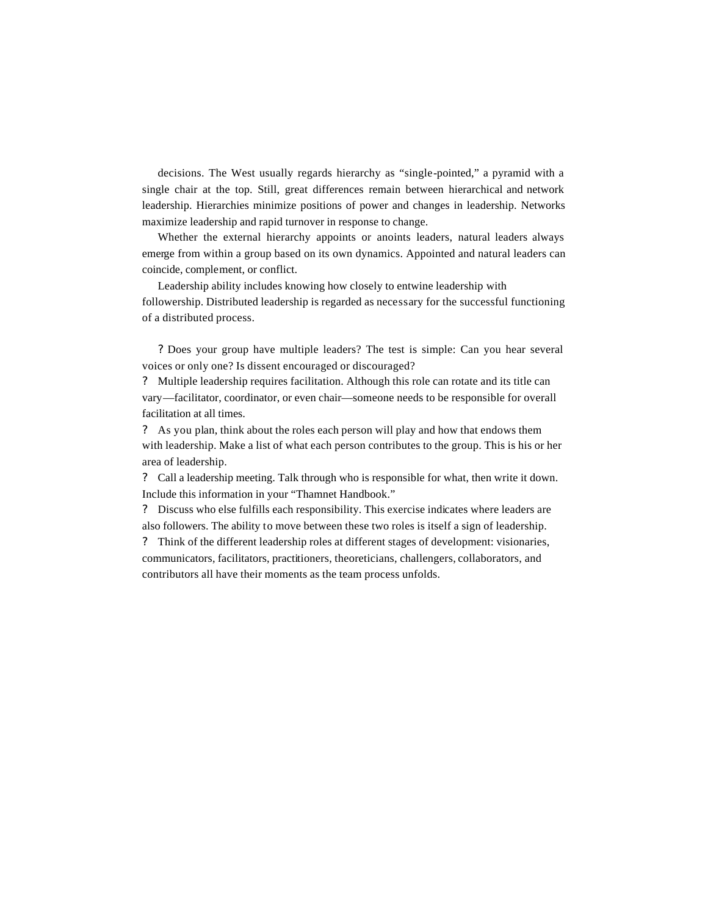decisions. The West usually regards hierarchy as "single-pointed," a pyramid with a single chair at the top. Still, great differences remain between hierarchical and network leadership. Hierarchies minimize positions of power and changes in leadership. Networks maximize leadership and rapid turnover in response to change.

Whether the external hierarchy appoints or anoints leaders, natural leaders always emerge from within a group based on its own dynamics. Appointed and natural leaders can coincide, complement, or conflict.

Leadership ability includes knowing how closely to entwine leadership with followership. Distributed leadership is regarded as necessary for the successful functioning of a distributed process.

? Does your group have multiple leaders? The test is simple: Can you hear several voices or only one? Is dissent encouraged or discouraged?

? Multiple leadership requires facilitation. Although this role can rotate and its title can vary—facilitator, coordinator, or even chair—someone needs to be responsible for overall facilitation at all times.

? As you plan, think about the roles each person will play and how that endows them with leadership. Make a list of what each person contributes to the group. This is his or her area of leadership.

? Call a leadership meeting. Talk through who is responsible for what, then write it down. Include this information in your "Thamnet Handbook."

? Discuss who else fulfills each responsibility. This exercise indicates where leaders are also followers. The ability to move between these two roles is itself a sign of leadership.

? Think of the different leadership roles at different stages of development: visionaries, communicators, facilitators, practitioners, theoreticians, challengers, collaborators, and contributors all have their moments as the team process unfolds.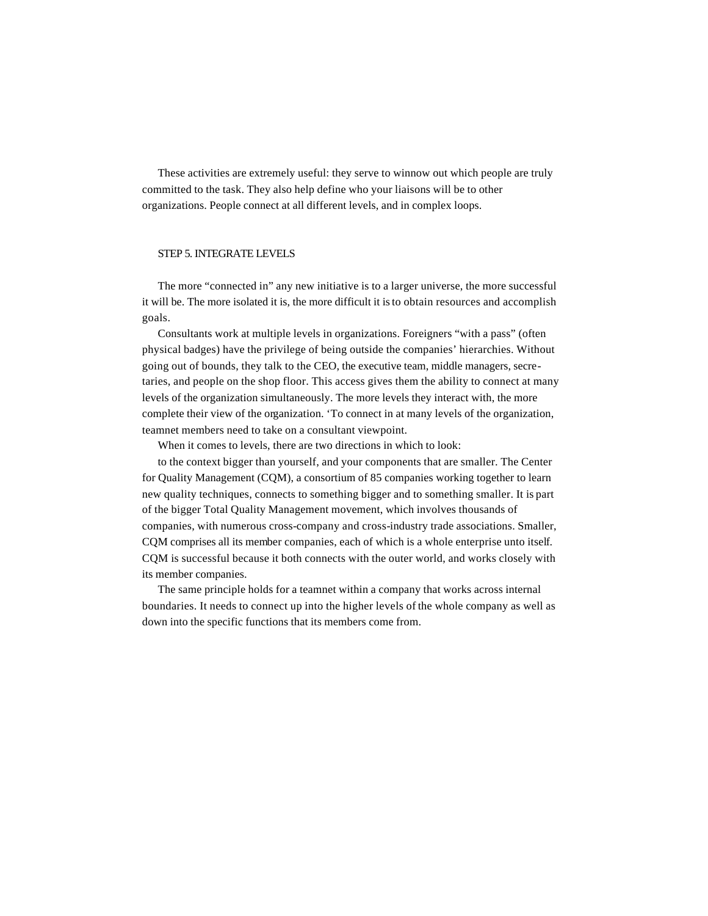These activities are extremely useful: they serve to winnow out which people are truly committed to the task. They also help define who your liaisons will be to other organizations. People connect at all different levels, and in complex loops.

#### STEP 5. INTEGRATE LEVELS

The more "connected in" any new initiative is to a larger universe, the more successful it will be. The more isolated it is, the more difficult it is to obtain resources and accomplish goals.

Consultants work at multiple levels in organizations. Foreigners "with a pass" (often physical badges) have the privilege of being outside the companies' hierarchies. Without going out of bounds, they talk to the CEO, the executive team, middle managers, secretaries, and people on the shop floor. This access gives them the ability to connect at many levels of the organization simultaneously. The more levels they interact with, the more complete their view of the organization. 'To connect in at many levels of the organization, teamnet members need to take on a consultant viewpoint.

When it comes to levels, there are two directions in which to look:

to the context bigger than yourself, and your components that are smaller. The Center for Quality Management (CQM), a consortium of 85 companies working together to learn new quality techniques, connects to something bigger and to something smaller. It is part of the bigger Total Quality Management movement, which involves thousands of companies, with numerous cross-company and cross-industry trade associations. Smaller, CQM comprises all its member companies, each of which is a whole enterprise unto itself. CQM is successful because it both connects with the outer world, and works closely with its member companies.

The same principle holds for a teamnet within a company that works across internal boundaries. It needs to connect up into the higher levels of the whole company as well as down into the specific functions that its members come from.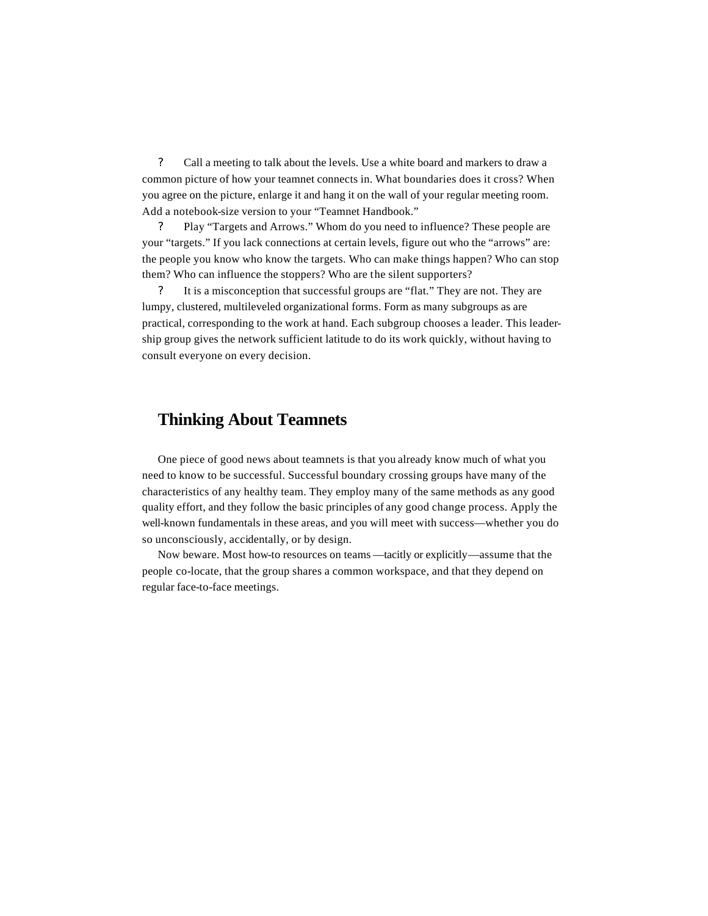? Call a meeting to talk about the levels. Use a white board and markers to draw a common picture of how your teamnet connects in. What boundaries does it cross? When you agree on the picture, enlarge it and hang it on the wall of your regular meeting room. Add a notebook-size version to your "Teamnet Handbook."

? Play "Targets and Arrows." Whom do you need to influence? These people are your "targets." If you lack connections at certain levels, figure out who the "arrows" are: the people you know who know the targets. Who can make things happen? Who can stop them? Who can influence the stoppers? Who are the silent supporters?

? It is a misconception that successful groups are "flat." They are not. They are lumpy, clustered, multileveled organizational forms. Form as many subgroups as are practical, corresponding to the work at hand. Each subgroup chooses a leader. This leadership group gives the network sufficient latitude to do its work quickly, without having to consult everyone on every decision.

## **Thinking About Teamnets**

One piece of good news about teamnets is that you already know much of what you need to know to be successful. Successful boundary crossing groups have many of the characteristics of any healthy team. They employ many of the same methods as any good quality effort, and they follow the basic principles of any good change process. Apply the well-known fundamentals in these areas, and you will meet with success—whether you do so unconsciously, accidentally, or by design.

Now beware. Most how-to resources on teams —tacitly or explicitly—assume that the people co-locate, that the group shares a common workspace, and that they depend on regular face-to-face meetings.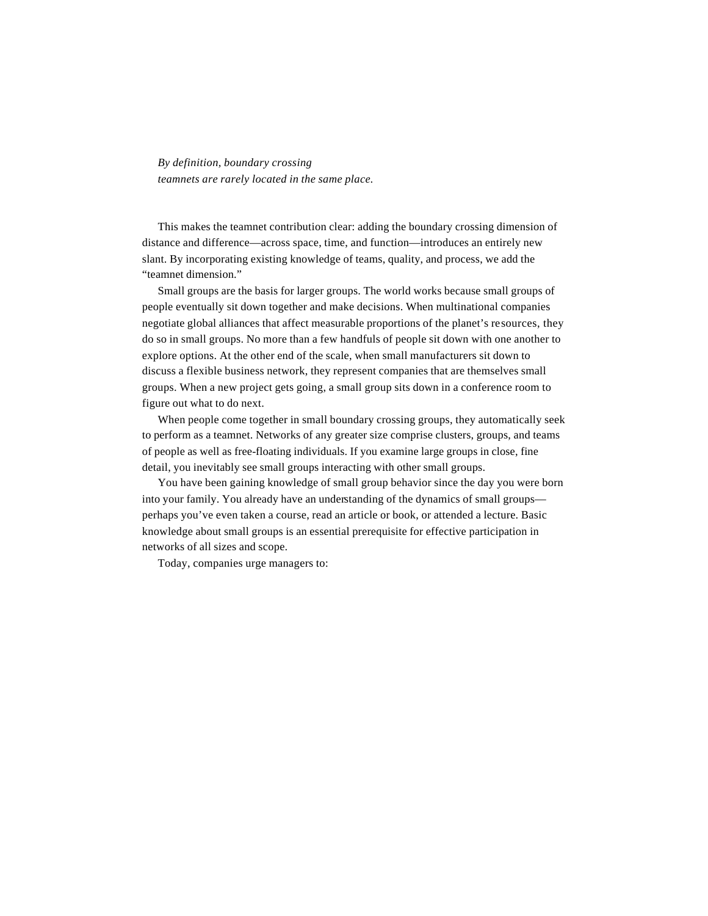#### *By definition, boundary crossing teamnets are rarely located in the same place.*

This makes the teamnet contribution clear: adding the boundary crossing dimension of distance and difference—across space, time, and function—introduces an entirely new slant. By incorporating existing knowledge of teams, quality, and process, we add the "teamnet dimension."

Small groups are the basis for larger groups. The world works because small groups of people eventually sit down together and make decisions. When multinational companies negotiate global alliances that affect measurable proportions of the planet's resources, they do so in small groups. No more than a few handfuls of people sit down with one another to explore options. At the other end of the scale, when small manufacturers sit down to discuss a flexible business network, they represent companies that are themselves small groups. When a new project gets going, a small group sits down in a conference room to figure out what to do next.

When people come together in small boundary crossing groups, they automatically seek to perform as a teamnet. Networks of any greater size comprise clusters, groups, and teams of people as well as free-floating individuals. If you examine large groups in close, fine detail, you inevitably see small groups interacting with other small groups.

You have been gaining knowledge of small group behavior since the day you were born into your family. You already have an understanding of the dynamics of small groups perhaps you've even taken a course, read an article or book, or attended a lecture. Basic knowledge about small groups is an essential prerequisite for effective participation in networks of all sizes and scope.

Today, companies urge managers to: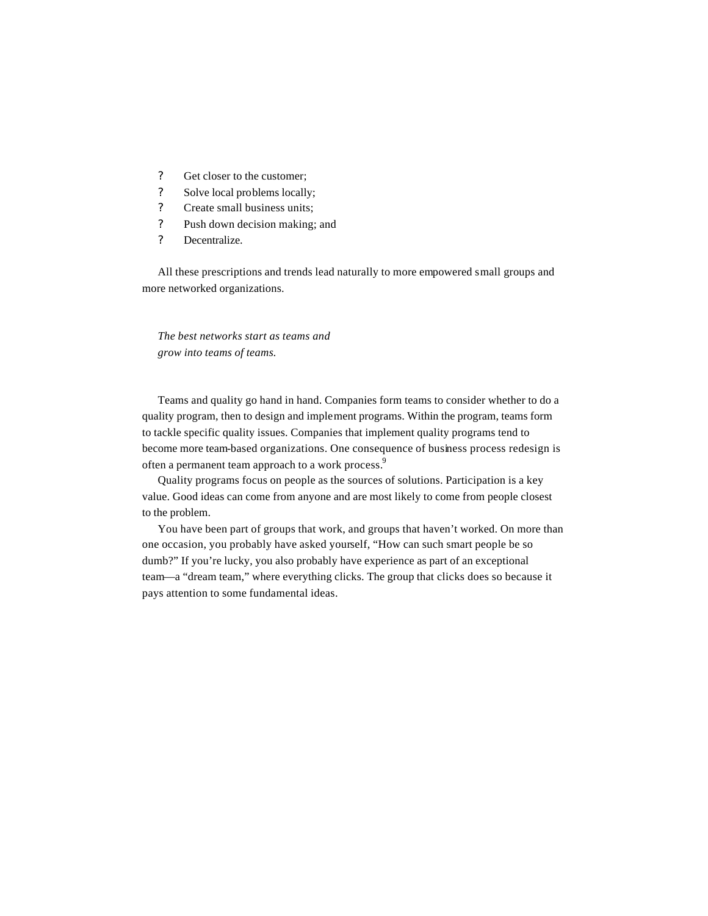- ? Get closer to the customer;
- ? Solve local problems locally;
- ? Create small business units;
- ? Push down decision making; and
- ? Decentralize.

All these prescriptions and trends lead naturally to more empowered small groups and more networked organizations.

*The best networks start as teams and grow into teams of teams.*

Teams and quality go hand in hand. Companies form teams to consider whether to do a quality program, then to design and implement programs. Within the program, teams form to tackle specific quality issues. Companies that implement quality programs tend to become more team-based organizations. One consequence of business process redesign is often a permanent team approach to a work process.<sup>9</sup>

Quality programs focus on people as the sources of solutions. Participation is a key value. Good ideas can come from anyone and are most likely to come from people closest to the problem.

You have been part of groups that work, and groups that haven't worked. On more than one occasion, you probably have asked yourself, "How can such smart people be so dumb?" If you're lucky, you also probably have experience as part of an exceptional team—a "dream team," where everything clicks. The group that clicks does so because it pays attention to some fundamental ideas.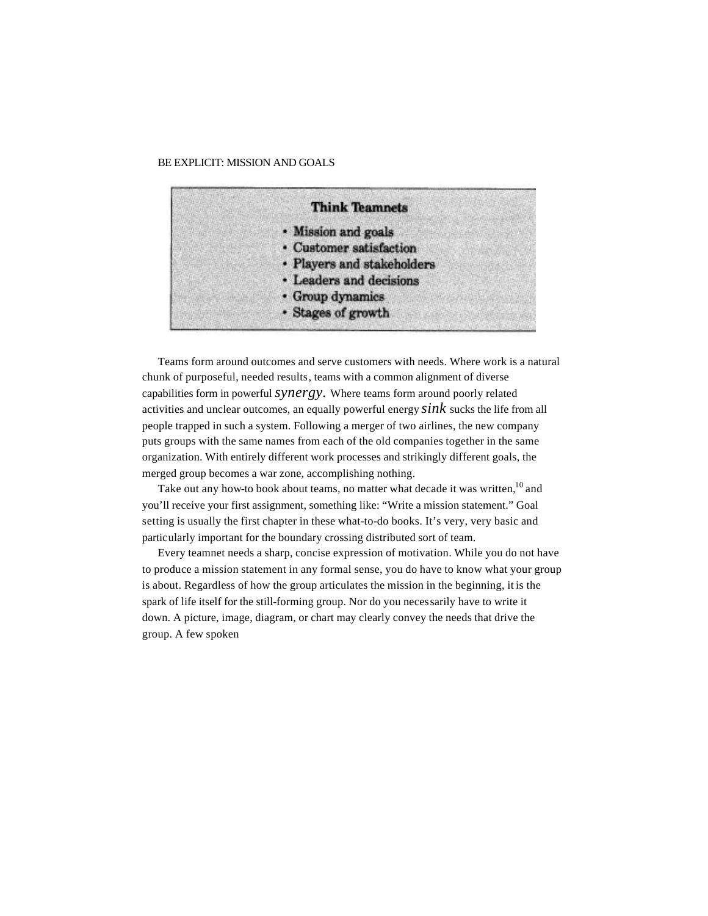#### BE EXPLICIT: MISSION AND GOALS



Teams form around outcomes and serve customers with needs. Where work is a natural chunk of purposeful, needed results, teams with a common alignment of diverse capabilities form in powerful *synergy.* Where teams form around poorly related activities and unclear outcomes, an equally powerful energy *sink* sucks the life from all people trapped in such a system. Following a merger of two airlines, the new company puts groups with the same names from each of the old companies together in the same organization. With entirely different work processes and strikingly different goals, the merged group becomes a war zone, accomplishing nothing.

Take out any how-to book about teams, no matter what decade it was written,<sup>10</sup> and you'll receive your first assignment, something like: "Write a mission statement." Goal setting is usually the first chapter in these what-to-do books. It's very, very basic and particularly important for the boundary crossing distributed sort of team.

Every teamnet needs a sharp, concise expression of motivation. While you do not have to produce a mission statement in any formal sense, you do have to know what your group is about. Regardless of how the group articulates the mission in the beginning, it is the spark of life itself for the still-forming group. Nor do you necessarily have to write it down. A picture, image, diagram, or chart may clearly convey the needs that drive the group. A few spoken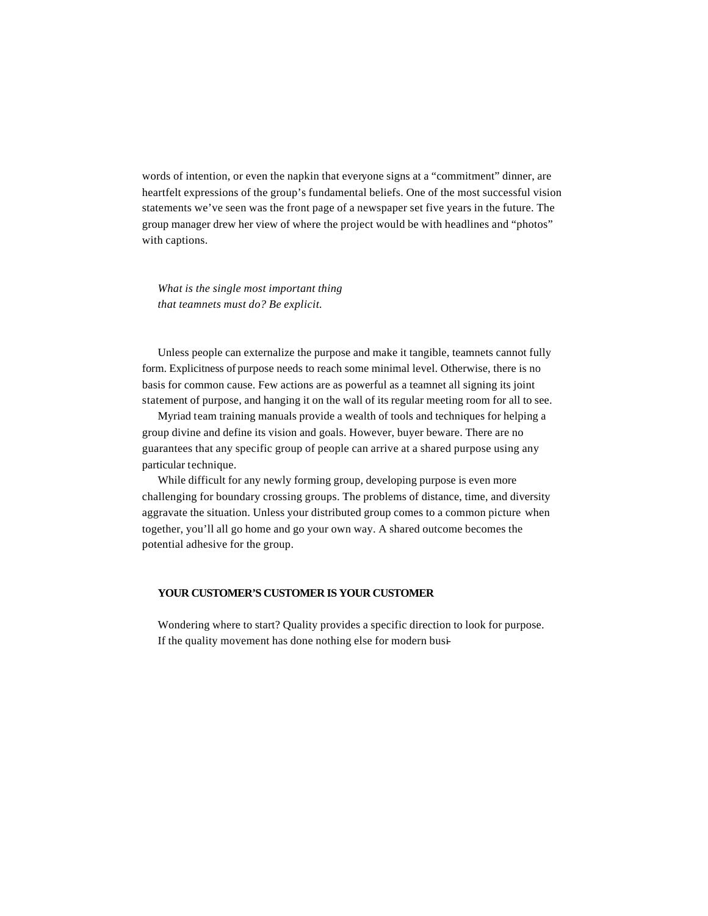words of intention, or even the napkin that everyone signs at a "commitment" dinner, are heartfelt expressions of the group's fundamental beliefs. One of the most successful vision statements we've seen was the front page of a newspaper set five years in the future. The group manager drew her view of where the project would be with headlines and "photos" with captions.

*What is the single most important thing that teamnets must do? Be explicit.*

Unless people can externalize the purpose and make it tangible, teamnets cannot fully form. Explicitness of purpose needs to reach some minimal level. Otherwise, there is no basis for common cause. Few actions are as powerful as a teamnet all signing its joint statement of purpose, and hanging it on the wall of its regular meeting room for all to see.

Myriad team training manuals provide a wealth of tools and techniques for helping a group divine and define its vision and goals. However, buyer beware. There are no guarantees that any specific group of people can arrive at a shared purpose using any particular technique.

While difficult for any newly forming group, developing purpose is even more challenging for boundary crossing groups. The problems of distance, time, and diversity aggravate the situation. Unless your distributed group comes to a common picture when together, you'll all go home and go your own way. A shared outcome becomes the potential adhesive for the group.

#### **YOUR CUSTOMER'S CUSTOMER IS YOUR CUSTOMER**

Wondering where to start? Quality provides a specific direction to look for purpose. If the quality movement has done nothing else for modern busi-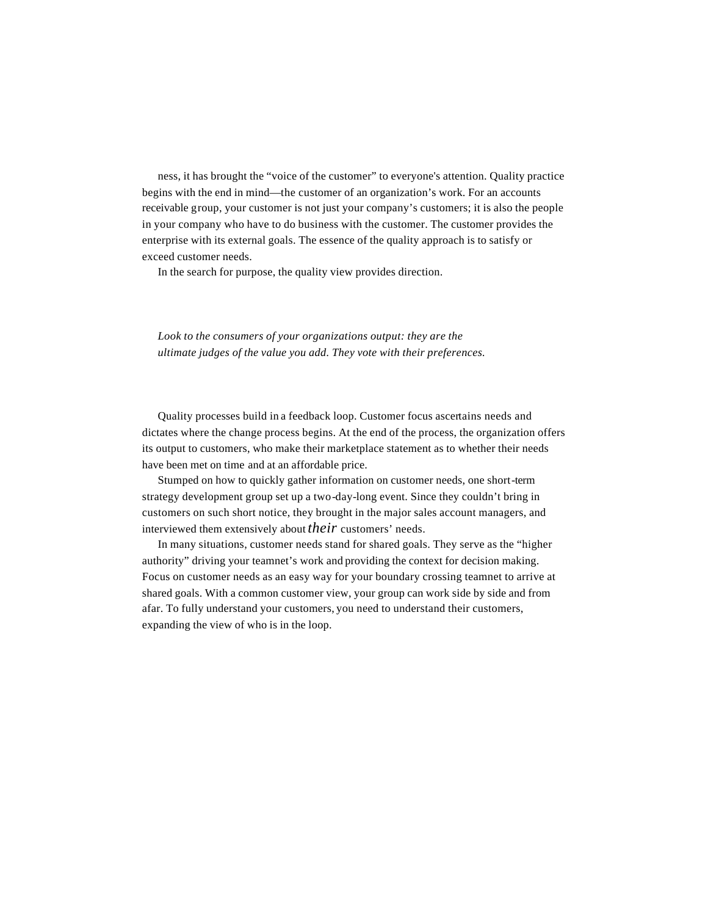ness, it has brought the "voice of the customer" to everyone's attention. Quality practice begins with the end in mind—the customer of an organization's work. For an accounts receivable group, your customer is not just your company's customers; it is also the people in your company who have to do business with the customer. The customer provides the enterprise with its external goals. The essence of the quality approach is to satisfy or exceed customer needs.

In the search for purpose, the quality view provides direction.

*Look to the consumers of your organizations output: they are the ultimate judges of the value you add. They vote with their preferences.*

Quality processes build in a feedback loop. Customer focus ascertains needs and dictates where the change process begins. At the end of the process, the organization offers its output to customers, who make their marketplace statement as to whether their needs have been met on time and at an affordable price.

Stumped on how to quickly gather information on customer needs, one short-term strategy development group set up a two-day-long event. Since they couldn't bring in customers on such short notice, they brought in the major sales account managers, and interviewed them extensively about *their* customers' needs.

In many situations, customer needs stand for shared goals. They serve as the "higher authority" driving your teamnet's work and providing the context for decision making. Focus on customer needs as an easy way for your boundary crossing teamnet to arrive at shared goals. With a common customer view, your group can work side by side and from afar. To fully understand your customers, you need to understand their customers, expanding the view of who is in the loop.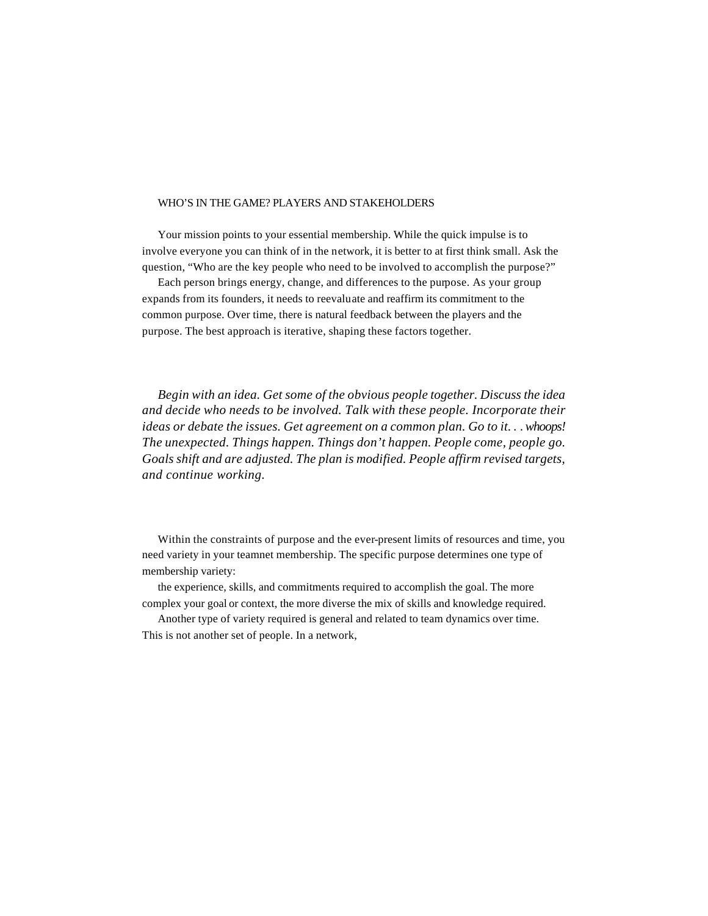#### WHO'S IN THE GAME? PLAYERS AND STAKEHOLDERS

Your mission points to your essential membership. While the quick impulse is to involve everyone you can think of in the network, it is better to at first think small. Ask the question, "Who are the key people who need to be involved to accomplish the purpose?"

Each person brings energy, change, and differences to the purpose. As your group expands from its founders, it needs to reevaluate and reaffirm its commitment to the common purpose. Over time, there is natural feedback between the players and the purpose. The best approach is iterative, shaping these factors together.

*Begin with an idea. Get some of the obvious people together. Discuss the idea and decide who needs to be involved. Talk with these people. Incorporate their ideas or debate the issues. Get agreement on a common plan. Go to it... whoops! The unexpected. Things happen. Things don't happen. People come, people go. Goals shift and are adjusted. The plan is modified. People affirm revised targets, and continue working.*

Within the constraints of purpose and the ever-present limits of resources and time, you need variety in your teamnet membership. The specific purpose determines one type of membership variety:

the experience, skills, and commitments required to accomplish the goal. The more complex your goal or context, the more diverse the mix of skills and knowledge required.

Another type of variety required is general and related to team dynamics over time. This is not another set of people. In a network,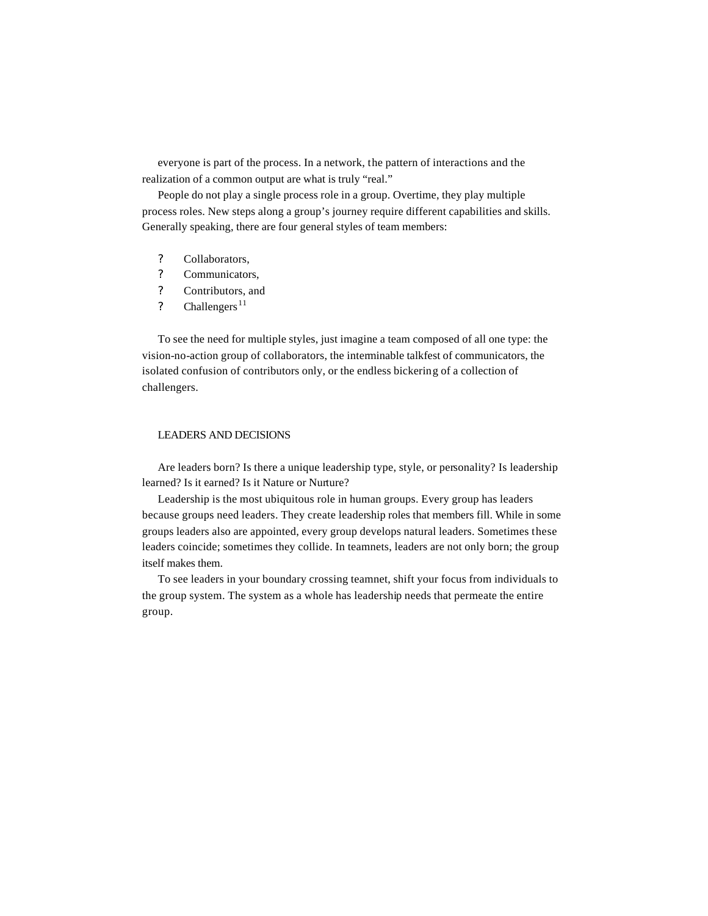everyone is part of the process. In a network, the pattern of interactions and the realization of a common output are what is truly "real."

People do not play a single process role in a group. Overtime, they play multiple process roles. New steps along a group's journey require different capabilities and skills. Generally speaking, there are four general styles of team members:

- ? Collaborators,
- ? Communicators,
- ? Contributors, and
- ? Challengers<sup>11</sup>

To see the need for multiple styles, just imagine a team composed of all one type: the vision-no-action group of collaborators, the interminable talkfest of communicators, the isolated confusion of contributors only, or the endless bickering of a collection of challengers.

#### LEADERS AND DECISIONS

Are leaders born? Is there a unique leadership type, style, or personality? Is leadership learned? Is it earned? Is it Nature or Nurture?

Leadership is the most ubiquitous role in human groups. Every group has leaders because groups need leaders. They create leadership roles that members fill. While in some groups leaders also are appointed, every group develops natural leaders. Sometimes these leaders coincide; sometimes they collide. In teamnets, leaders are not only born; the group itself makes them.

To see leaders in your boundary crossing teamnet, shift your focus from individuals to the group system. The system as a whole has leadership needs that permeate the entire group.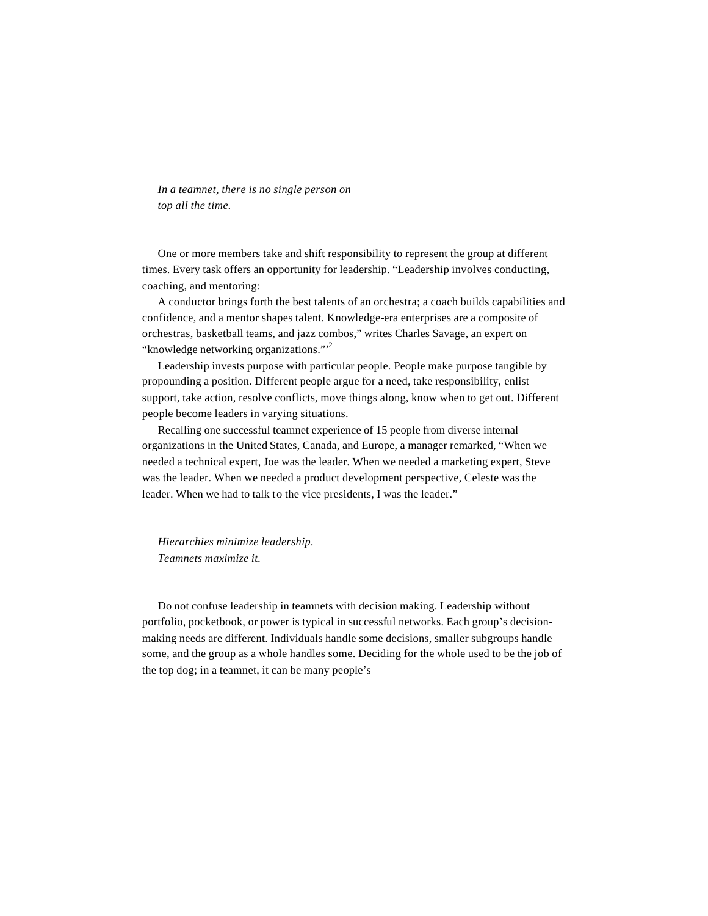*In a teamnet, there is no single person on top all the time.*

One or more members take and shift responsibility to represent the group at different times. Every task offers an opportunity for leadership. "Leadership involves conducting, coaching, and mentoring:

A conductor brings forth the best talents of an orchestra; a coach builds capabilities and confidence, and a mentor shapes talent. Knowledge-era enterprises are a composite of orchestras, basketball teams, and jazz combos," writes Charles Savage, an expert on "knowledge networking organizations."<sup>2</sup>

Leadership invests purpose with particular people. People make purpose tangible by propounding a position. Different people argue for a need, take responsibility, enlist support, take action, resolve conflicts, move things along, know when to get out. Different people become leaders in varying situations.

Recalling one successful teamnet experience of 15 people from diverse internal organizations in the United States, Canada, and Europe, a manager remarked, "When we needed a technical expert, Joe was the leader. When we needed a marketing expert, Steve was the leader. When we needed a product development perspective, Celeste was the leader. When we had to talk to the vice presidents, I was the leader."

*Hierarchies minimize leadership. Teamnets maximize it.*

Do not confuse leadership in teamnets with decision making. Leadership without portfolio, pocketbook, or power is typical in successful networks. Each group's decisionmaking needs are different. Individuals handle some decisions, smaller subgroups handle some, and the group as a whole handles some. Deciding for the whole used to be the job of the top dog; in a teamnet, it can be many people's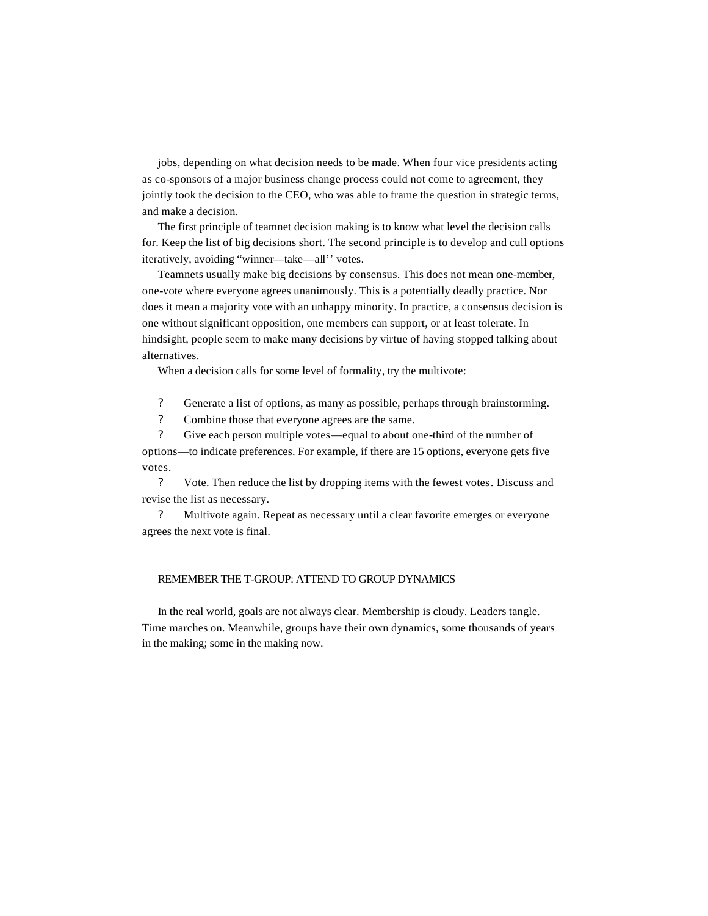jobs, depending on what decision needs to be made. When four vice presidents acting as co-sponsors of a major business change process could not come to agreement, they jointly took the decision to the CEO, who was able to frame the question in strategic terms, and make a decision.

The first principle of teamnet decision making is to know what level the decision calls for. Keep the list of big decisions short. The second principle is to develop and cull options iteratively, avoiding "winner—take—all'' votes.

Teamnets usually make big decisions by consensus. This does not mean one-member, one-vote where everyone agrees unanimously. This is a potentially deadly practice. Nor does it mean a majority vote with an unhappy minority. In practice, a consensus decision is one without significant opposition, one members can support, or at least tolerate. In hindsight, people seem to make many decisions by virtue of having stopped talking about alternatives.

When a decision calls for some level of formality, try the multivote:

- ? Generate a list of options, as many as possible, perhaps through brainstorming.
- ? Combine those that everyone agrees are the same.
- ? Give each person multiple votes—equal to about one-third of the number of

options—to indicate preferences. For example, if there are 15 options, everyone gets five votes.

? Vote. Then reduce the list by dropping items with the fewest votes. Discuss and revise the list as necessary.

? Multivote again. Repeat as necessary until a clear favorite emerges or everyone agrees the next vote is final.

#### REMEMBER THE T-GROUP: ATTEND TO GROUP DYNAMICS

In the real world, goals are not always clear. Membership is cloudy. Leaders tangle. Time marches on. Meanwhile, groups have their own dynamics, some thousands of years in the making; some in the making now.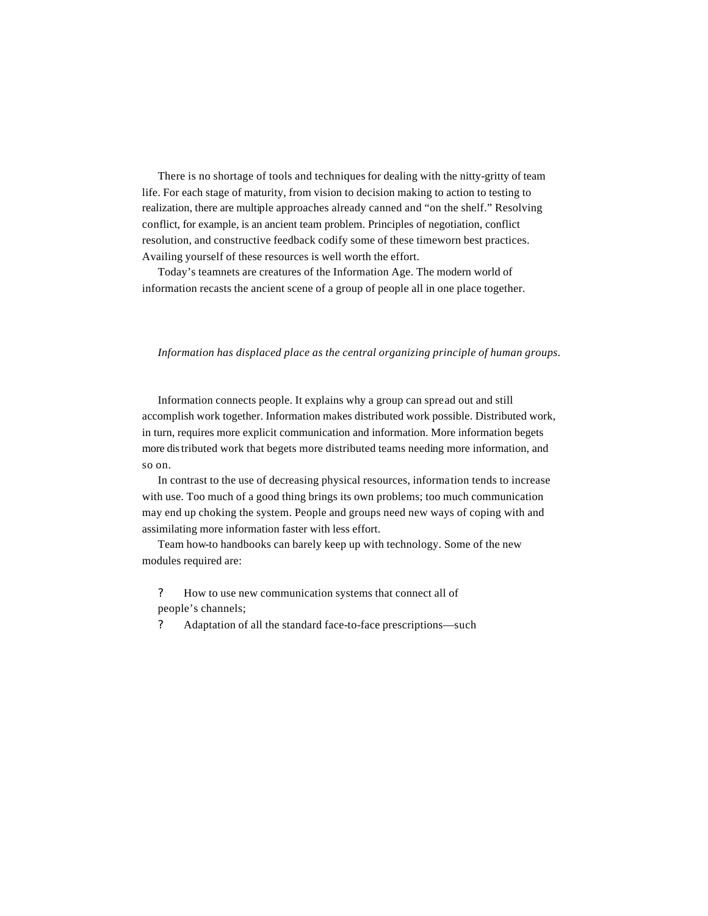There is no shortage of tools and techniques for dealing with the nitty-gritty of team life. For each stage of maturity, from vision to decision making to action to testing to realization, there are multiple approaches already canned and "on the shelf." Resolving conflict, for example, is an ancient team problem. Principles of negotiation, conflict resolution, and constructive feedback codify some of these timeworn best practices. Availing yourself of these resources is well worth the effort.

Today's teamnets are creatures of the Information Age. The modern world of information recasts the ancient scene of a group of people all in one place together.

#### *Information has displaced place as the central organizing principle of human groups.*

Information connects people. It explains why a group can spread out and still accomplish work together. Information makes distributed work possible. Distributed work, in turn, requires more explicit communication and information. More information begets more distributed work that begets more distributed teams needing more information, and so on.

In contrast to the use of decreasing physical resources, information tends to increase with use. Too much of a good thing brings its own problems; too much communication may end up choking the system. People and groups need new ways of coping with and assimilating more information faster with less effort.

Team how-to handbooks can barely keep up with technology. Some of the new modules required are:

? How to use new communication systems that connect all of people's channels;

? Adaptation of all the standard face-to-face prescriptions—such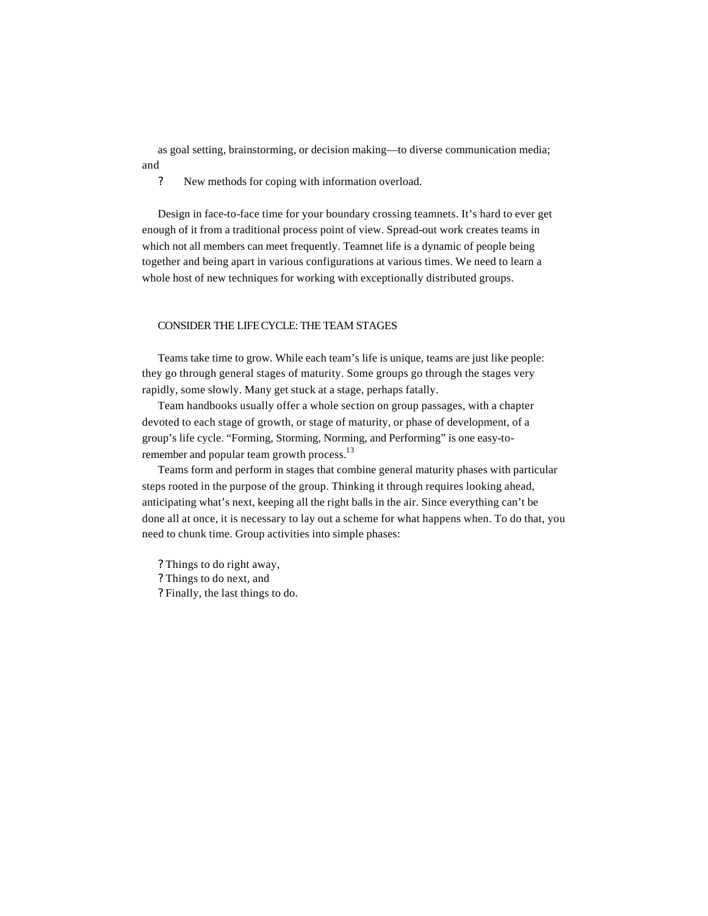as goal setting, brainstorming, or decision making—to diverse communication media; and

? New methods for coping with information overload.

Design in face-to-face time for your boundary crossing teamnets. It's hard to ever get enough of it from a traditional process point of view. Spread-out work creates teams in which not all members can meet frequently. Teamnet life is a dynamic of people being together and being apart in various configurations at various times. We need to learn a whole host of new techniques for working with exceptionally distributed groups.

#### CONSIDER THE LIFECYCLE: THE TEAM STAGES

Teams take time to grow. While each team's life is unique, teams are just like people: they go through general stages of maturity. Some groups go through the stages very rapidly, some slowly. Many get stuck at a stage, perhaps fatally.

Team handbooks usually offer a whole section on group passages, with a chapter devoted to each stage of growth, or stage of maturity, or phase of development, of a group's life cycle. "Forming, Storming, Norming, and Performing" is one easy-toremember and popular team growth process.<sup>13</sup>

Teams form and perform in stages that combine general maturity phases with particular steps rooted in the purpose of the group. Thinking it through requires looking ahead, anticipating what's next, keeping all the right balls in the air. Since everything can't be done all at once, it is necessary to lay out a scheme for what happens when. To do that, you need to chunk time. Group activities into simple phases:

? Things to do right away, ? Things to do next, and ? Finally, the last things to do.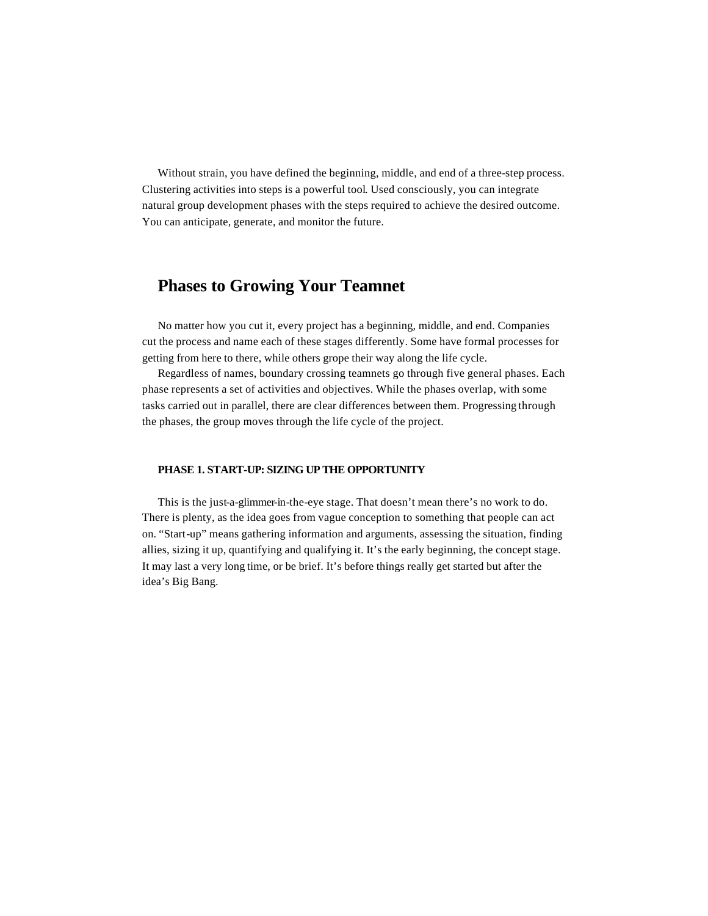Without strain, you have defined the beginning, middle, and end of a three-step process. Clustering activities into steps is a powerful tool. Used consciously, you can integrate natural group development phases with the steps required to achieve the desired outcome. You can anticipate, generate, and monitor the future.

## **Phases to Growing Your Teamnet**

No matter how you cut it, every project has a beginning, middle, and end. Companies cut the process and name each of these stages differently. Some have formal processes for getting from here to there, while others grope their way along the life cycle.

Regardless of names, boundary crossing teamnets go through five general phases. Each phase represents a set of activities and objectives. While the phases overlap, with some tasks carried out in parallel, there are clear differences between them. Progressing through the phases, the group moves through the life cycle of the project.

#### **PHASE 1. START-UP: SIZING UP THE OPPORTUNITY**

This is the just-a-glimmer-in-the-eye stage. That doesn't mean there's no work to do. There is plenty, as the idea goes from vague conception to something that people can act on. "Start-up" means gathering information and arguments, assessing the situation, finding allies, sizing it up, quantifying and qualifying it. It's the early beginning, the concept stage. It may last a very long time, or be brief. It's before things really get started but after the idea's Big Bang.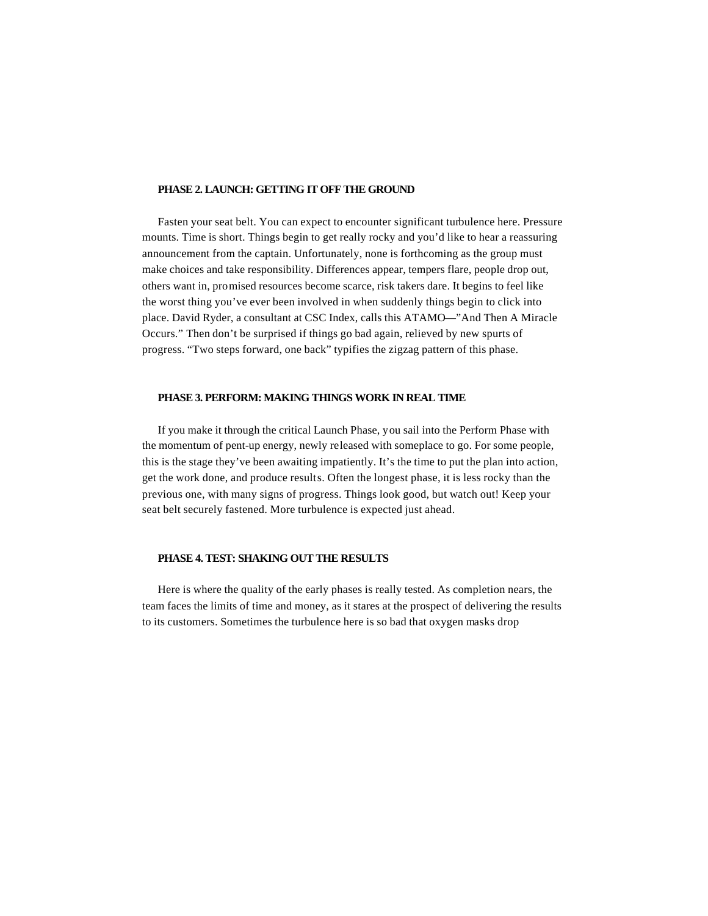#### **PHASE 2. LAUNCH: GETTING IT OFF THE GROUND**

Fasten your seat belt. You can expect to encounter significant turbulence here. Pressure mounts. Time is short. Things begin to get really rocky and you'd like to hear a reassuring announcement from the captain. Unfortunately, none is forthcoming as the group must make choices and take responsibility. Differences appear, tempers flare, people drop out, others want in, promised resources become scarce, risk takers dare. It begins to feel like the worst thing you've ever been involved in when suddenly things begin to click into place. David Ryder, a consultant at CSC Index, calls this ATAMO—"And Then A Miracle Occurs." Then don't be surprised if things go bad again, relieved by new spurts of progress. "Two steps forward, one back" typifies the zigzag pattern of this phase.

#### **PHASE 3. PERFORM: MAKING THINGS WORK IN REAL TIME**

If you make it through the critical Launch Phase, you sail into the Perform Phase with the momentum of pent-up energy, newly released with someplace to go. For some people, this is the stage they've been awaiting impatiently. It's the time to put the plan into action, get the work done, and produce results. Often the longest phase, it is less rocky than the previous one, with many signs of progress. Things look good, but watch out! Keep your seat belt securely fastened. More turbulence is expected just ahead.

#### **PHASE 4. TEST: SHAKING OUT THE RESULTS**

Here is where the quality of the early phases is really tested. As completion nears, the team faces the limits of time and money, as it stares at the prospect of delivering the results to its customers. Sometimes the turbulence here is so bad that oxygen masks drop